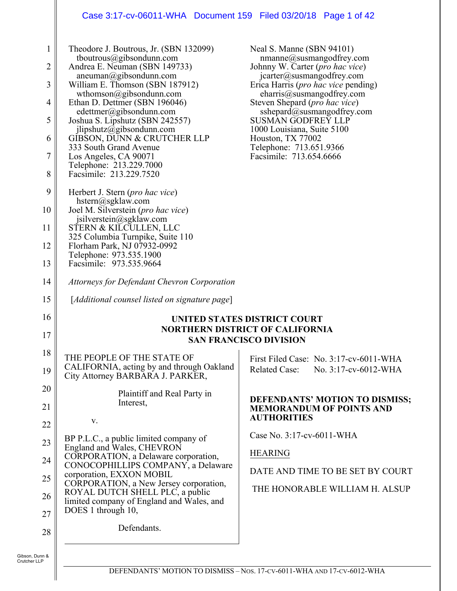#### Case 3:17-cv-06011-WHA Document 159 Filed 03/20/18 Page 1 of 42

| $\mathbf{1}$<br>2<br>3 | Theodore J. Boutrous, Jr. (SBN 132099)<br>tboutrous@gibsondunn.com<br>Andrea E. Neuman (SBN 149733)<br>aneuman@gibsondunn.com<br>William E. Thomson (SBN 187912) | Neal S. Manne (SBN 94101)<br>nmanne@susmangodfrey.com<br>Johnny W. Carter (pro hac vice)<br>jcarter@susmangodfrey.com<br>Erica Harris ( <i>pro hac vice</i> pending) |
|------------------------|------------------------------------------------------------------------------------------------------------------------------------------------------------------|----------------------------------------------------------------------------------------------------------------------------------------------------------------------|
| $\overline{4}$         | wthomson@gibsondunn.com<br>Ethan D. Dettmer (SBN 196046)<br>edettmer@gibsondunn.com                                                                              | charris@susmangodfrey.com<br>Steven Shepard (pro hac vice)<br>sshepard@susmangodfrey.com                                                                             |
| 5                      | Joshua S. Lipshutz (SBN 242557)<br>ilipshutz@gibsondunn.com                                                                                                      | <b>SUSMAN GODFREY LLP</b><br>1000 Louisiana, Suite 5100                                                                                                              |
| 6                      | GIBSON, DUNN & CRUTCHER LLP<br>333 South Grand Avenue                                                                                                            | Houston, TX 77002<br>Telephone: 713.651.9366                                                                                                                         |
| $\overline{7}$         | Los Angeles, CA 90071<br>Telephone: 213.229.7000                                                                                                                 | Facsimile: 713.654.6666                                                                                                                                              |
| 8                      | Facsimile: 213.229.7520                                                                                                                                          |                                                                                                                                                                      |
| 9                      | Herbert J. Stern ( <i>pro hac vice</i> )<br>$h^{stern}(a)$ sgklaw.com                                                                                            |                                                                                                                                                                      |
| 10                     | Joel M. Silverstein (pro hac vice)<br>jsilverstein@sgklaw.com                                                                                                    |                                                                                                                                                                      |
| 11                     | STERN & KILCULLEN, LLC<br>325 Columbia Turnpike, Suite 110                                                                                                       |                                                                                                                                                                      |
| 12                     | Florham Park, NJ 07932-0992<br>Telephone: 973.535.1900                                                                                                           |                                                                                                                                                                      |
| 13                     | Facsimile: 973.535.9664                                                                                                                                          |                                                                                                                                                                      |
| 14                     | <b>Attorneys for Defendant Chevron Corporation</b>                                                                                                               |                                                                                                                                                                      |
| 15                     | [Additional counsel listed on signature page]                                                                                                                    |                                                                                                                                                                      |
| 16                     | UNITED STATES DISTRICT COURT                                                                                                                                     |                                                                                                                                                                      |
| 17                     |                                                                                                                                                                  | <b>NORTHERN DISTRICT OF CALIFORNIA</b><br><b>SAN FRANCISCO DIVISION</b>                                                                                              |
| 18                     | THE PEOPLE OF THE STATE OF                                                                                                                                       | First Filed Case: No. 3:17-cv-6011-WHA                                                                                                                               |
| 19                     | CALIFORNIA, acting by and through Oakland<br>City Attorney BARBARA J. PARKER,                                                                                    | Related Case: No. 3:17-cv-6012-WHA                                                                                                                                   |
| 20                     | Plaintiff and Real Party in                                                                                                                                      | DEFENDANTS' MOTION TO DISMISS;                                                                                                                                       |
| 21                     | Interest,                                                                                                                                                        | <b>MEMORANDUM OF POINTS AND</b><br><b>AUTHORITIES</b>                                                                                                                |
| 22                     | V.                                                                                                                                                               | Case No. 3:17-cv-6011-WHA                                                                                                                                            |
| 23                     | BP P.L.C., a public limited company of<br>England and Wales, CHEVRON                                                                                             |                                                                                                                                                                      |
| 24                     | CORPORATION, a Delaware corporation,<br>CONOCOPHILLIPS COMPANY, a Delaware                                                                                       | <b>HEARING</b>                                                                                                                                                       |
| 25                     | corporation, EXXON MOBIL<br>CORPORATION, a New Jersey corporation,                                                                                               | DATE AND TIME TO BE SET BY COURT                                                                                                                                     |
| 26                     | ROYAL DUTCH SHELL PLC, a public<br>limited company of England and Wales, and                                                                                     | THE HONORABLE WILLIAM H. ALSUP                                                                                                                                       |
| 27                     | DOES 1 through 10,                                                                                                                                               |                                                                                                                                                                      |
| 28                     | Defendants.                                                                                                                                                      |                                                                                                                                                                      |
| n Dunn &               |                                                                                                                                                                  |                                                                                                                                                                      |

 $\mathbf l$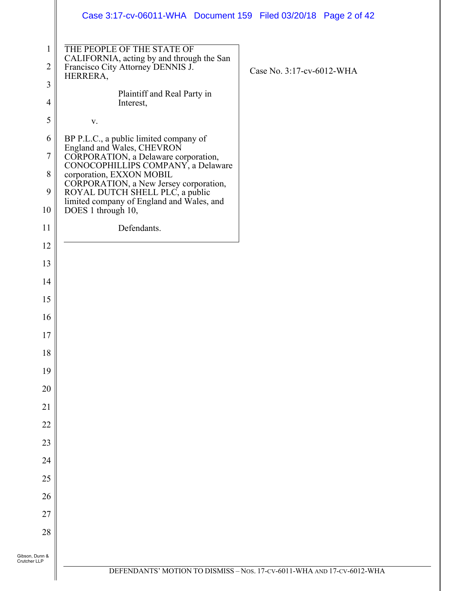|                                | Case 3:17-cv-06011-WHA  Document 159  Filed 03/20/18  Page 2 of 42                                                       |                                                                        |
|--------------------------------|--------------------------------------------------------------------------------------------------------------------------|------------------------------------------------------------------------|
| $\mathbf{1}$<br>$\overline{2}$ | THE PEOPLE OF THE STATE OF<br>CALIFORNIA, acting by and through the San<br>Francisco City Attorney DENNIS J.<br>HERRERA, | Case No. 3:17-cv-6012-WHA                                              |
| $\mathfrak{Z}$                 | Plaintiff and Real Party in                                                                                              |                                                                        |
| $\overline{4}$                 | Interest,                                                                                                                |                                                                        |
| 5                              | $\mathbf{V}$ .                                                                                                           |                                                                        |
| 6                              | BP P.L.C., a public limited company of<br>England and Wales, CHEVRON                                                     |                                                                        |
| $\tau$                         | CORPORATION, a Delaware corporation,<br>CONOCOPHILLIPS COMPANY, a Delaware                                               |                                                                        |
| $\,8\,$                        | corporation, EXXON MOBIL                                                                                                 |                                                                        |
| 9                              | CORPORATION, a New Jersey corporation,<br>ROYAL DUTCH SHELL PLC, a public                                                |                                                                        |
| 10                             | limited company of England and Wales, and<br>DOES 1 through 10,                                                          |                                                                        |
| 11                             | Defendants.                                                                                                              |                                                                        |
| 12                             |                                                                                                                          |                                                                        |
| 13                             |                                                                                                                          |                                                                        |
| 14                             |                                                                                                                          |                                                                        |
| 15                             |                                                                                                                          |                                                                        |
| 16                             |                                                                                                                          |                                                                        |
| 17                             |                                                                                                                          |                                                                        |
| 18                             |                                                                                                                          |                                                                        |
| 19                             |                                                                                                                          |                                                                        |
| 20                             |                                                                                                                          |                                                                        |
| 21                             |                                                                                                                          |                                                                        |
| 22                             |                                                                                                                          |                                                                        |
| 23                             |                                                                                                                          |                                                                        |
| 24                             |                                                                                                                          |                                                                        |
| 25                             |                                                                                                                          |                                                                        |
| 26                             |                                                                                                                          |                                                                        |
| 27                             |                                                                                                                          |                                                                        |
| 28                             |                                                                                                                          |                                                                        |
| Gibson, Dunn &<br>Crutcher LLP |                                                                                                                          |                                                                        |
|                                |                                                                                                                          | DEFENDANTS' MOTION TO DISMISS - Nos. 17-CV-6011-WHA AND 17-CV-6012-WHA |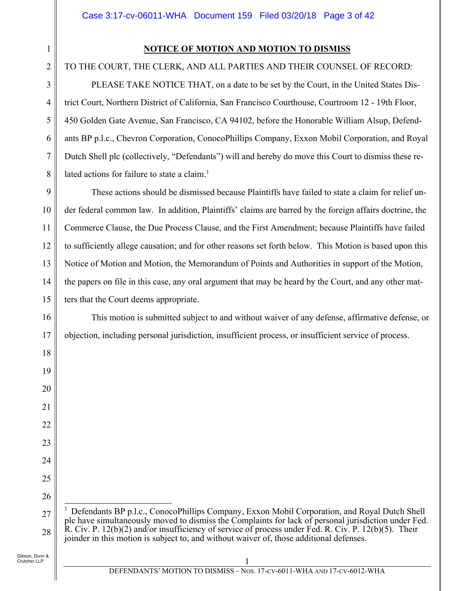### **NOTICE OF MOTION AND MOTION TO DISMISS**

# TO THE COURT, THE CLERK, AND ALL PARTIES AND THEIR COUNSEL OF RECORD:

PLEASE TAKE NOTICE THAT, on a date to be set by the Court, in the United States District Court, Northern District of California, San Francisco Courthouse, Courtroom 12 - 19th Floor, 450 Golden Gate Avenue, San Francisco, CA 94102, before the Honorable William Alsup, Defendants BP p.l.c., Chevron Corporation, ConocoPhillips Company, Exxon Mobil Corporation, and Royal Dutch Shell plc (collectively, "Defendants") will and hereby do move this Court to dismiss these related actions for failure to state a claim.<sup>1</sup>

9 10 11 12 13 14 15 These actions should be dismissed because Plaintiffs have failed to state a claim for relief under federal common law. In addition, Plaintiffs' claims are barred by the foreign affairs doctrine, the Commerce Clause, the Due Process Clause, and the First Amendment; because Plaintiffs have failed to sufficiently allege causation; and for other reasons set forth below. This Motion is based upon this Notice of Motion and Motion, the Memorandum of Points and Authorities in support of the Motion, the papers on file in this case, any oral argument that may be heard by the Court, and any other matters that the Court deems appropriate.

This motion is submitted subject to and without waiver of any defense, affirmative defense, or objection, including personal jurisdiction, insufficient process, or insufficient service of process.

1

2

3

4

5

6

7

8

16

17

18

19

20

21

22

23

24

25

<sup>27</sup> 28  $\overline{a}$ <sup>1</sup> Defendants BP p.l.c., ConocoPhillips Company, Exxon Mobil Corporation, and Royal Dutch Shell plc have simultaneously moved to dismiss the Complaints for lack of personal jurisdiction under Fed. R. Civ. P. 12(b)(2) and/or insufficiency of service of process under Fed. R. Civ. P. 12(b)(5). Their joinder in this motion is subject to, and without waiver of, those additional defenses.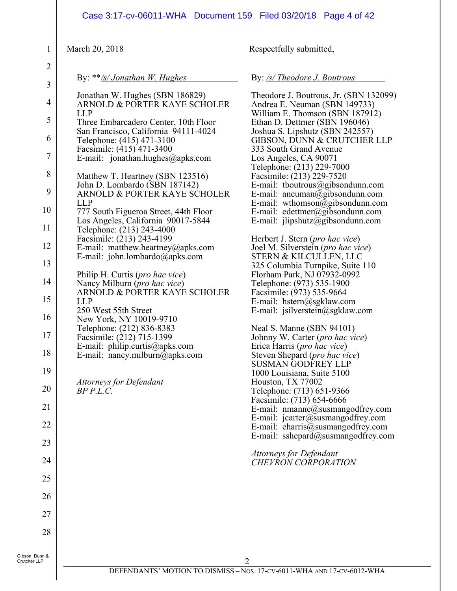|                                                                                                                                                                             | Case 3:17-cv-06011-WHA Document 159 Filed 03/20/18 Page 4 of 42                                                                                                                                                                                                                                                                                                                                                                                                                                                                                                                                                                                                                                                                                                                                                                                                                                                                                     |                                                                                                                                                                                                                                                                                                                                                                                                                                                                                                                                                                                                                                                                                                                                                                                                                                                                                                                                                                                                                                                                                                                                                                                                                                                                                                                        |
|-----------------------------------------------------------------------------------------------------------------------------------------------------------------------------|-----------------------------------------------------------------------------------------------------------------------------------------------------------------------------------------------------------------------------------------------------------------------------------------------------------------------------------------------------------------------------------------------------------------------------------------------------------------------------------------------------------------------------------------------------------------------------------------------------------------------------------------------------------------------------------------------------------------------------------------------------------------------------------------------------------------------------------------------------------------------------------------------------------------------------------------------------|------------------------------------------------------------------------------------------------------------------------------------------------------------------------------------------------------------------------------------------------------------------------------------------------------------------------------------------------------------------------------------------------------------------------------------------------------------------------------------------------------------------------------------------------------------------------------------------------------------------------------------------------------------------------------------------------------------------------------------------------------------------------------------------------------------------------------------------------------------------------------------------------------------------------------------------------------------------------------------------------------------------------------------------------------------------------------------------------------------------------------------------------------------------------------------------------------------------------------------------------------------------------------------------------------------------------|
| $\mathbf{1}$                                                                                                                                                                | March 20, 2018                                                                                                                                                                                                                                                                                                                                                                                                                                                                                                                                                                                                                                                                                                                                                                                                                                                                                                                                      | Respectfully submitted,                                                                                                                                                                                                                                                                                                                                                                                                                                                                                                                                                                                                                                                                                                                                                                                                                                                                                                                                                                                                                                                                                                                                                                                                                                                                                                |
| $\overline{2}$                                                                                                                                                              | By: **/s/ Jonathan W. Hughes                                                                                                                                                                                                                                                                                                                                                                                                                                                                                                                                                                                                                                                                                                                                                                                                                                                                                                                        | By: /s/ Theodore J. Boutrous                                                                                                                                                                                                                                                                                                                                                                                                                                                                                                                                                                                                                                                                                                                                                                                                                                                                                                                                                                                                                                                                                                                                                                                                                                                                                           |
| $\mathfrak{Z}$<br>$\overline{4}$<br>5<br>6<br>7<br>8<br>9<br>10<br>11<br>12<br>13<br>14<br>15<br>16<br>17<br>18<br>19<br>20<br>21<br>22<br>23<br>24<br>25<br>26<br>27<br>28 | Jonathan W. Hughes (SBN 186829)<br>ARNOLD & PORTER KAYE SCHOLER<br><b>LLP</b><br>Three Embarcadero Center, 10th Floor<br>San Francisco, California 94111-4024<br>Telephone: (415) 471-3100<br>Facsimile: (415) 471-3400<br>E-mail: jonathan.hughes@apks.com<br>Matthew T. Heartney (SBN 123516)<br>John D. Lombardo (SBN 187142)<br>ARNOLD & PORTER KAYE SCHOLER<br><b>LLP</b><br>777 South Figueroa Street, 44th Floor<br>Los Angeles, California 90017-5844<br>Telephone: (213) 243-4000<br>Facsimile: (213) 243-4199<br>E-mail: matthew.heartney@apks.com<br>E-mail: john.lombardo@apks.com<br>Philip H. Curtis (pro hac vice)<br>Nancy Milburn (pro hac vice)<br>ARNOLD & PORTER KAYE SCHOLER<br><b>LLP</b><br>250 West 55th Street<br>New York, NY 10019-9710<br>Telephone: (212) 836-8383<br>Facsimile: (212) 715-1399<br>E-mail: philip.curtis@apks.com<br>E-mail: nancy.milburn@apks.com<br><b>Attorneys for Defendant</b><br>$BP$ $P.L.C.$ | Theodore J. Boutrous, Jr. (SBN 132099)<br>Andrea E. Neuman (SBN 149733)<br>William E. Thomson (SBN 187912)<br>Ethan D. Dettmer (SBN 196046)<br>Joshua S. Lipshutz (SBN 242557)<br>GIBSON, DUNN & CRUTCHER LLP<br>333 South Grand Avenue<br>Los Angeles, CA 90071<br>Telephone: (213) 229-7000<br>Facsimile: (213) 229-7520<br>E-mail: tboutrous@gibsondunn.com<br>E-mail: aneuman@gibsondunn.com<br>E-mail: wthomson@gibsondunn.com<br>E-mail: edettmer@gibsondunn.com<br>E-mail: $j$ lipshutz@gibsondunn.com<br>Herbert J. Stern ( <i>pro hac vice</i> )<br>Joel M. Silverstein (pro hac vice)<br>STERN & KILCULLEN, LLC<br>325 Columbia Turnpike, Suite 110<br>Florham Park, NJ 07932-0992<br>Telephone: (973) 535-1900<br>Facsimile: (973) 535-9664<br>E-mail: hstern@sgklaw.com<br>E-mail: jsilverstein@sgklaw.com<br>Neal S. Manne (SBN 94101)<br>Johnny W. Carter (pro hac vice)<br>Erica Harris (pro hac vice)<br>Steven Shepard (pro hac vice)<br><b>SUSMAN GODFREY LLP</b><br>1000 Louisiana, Suite 5100<br>Houston, TX 77002<br>Telephone: (713) 651-9366<br>Facsimile: (713) 654-6666<br>E-mail: nmanne@susmangodfrey.com<br>E-mail: $jcarter@susmangedfrey.com$<br>E-mail: eharris@susmangodfrey.com<br>E-mail: sshepard@susmangodfrey.com<br><b>Attorneys for Defendant</b><br><b>CHEVRON CORPORATION</b> |
| Gibson, Dunn &<br>Crutcher LLP                                                                                                                                              |                                                                                                                                                                                                                                                                                                                                                                                                                                                                                                                                                                                                                                                                                                                                                                                                                                                                                                                                                     | $\overline{2}$                                                                                                                                                                                                                                                                                                                                                                                                                                                                                                                                                                                                                                                                                                                                                                                                                                                                                                                                                                                                                                                                                                                                                                                                                                                                                                         |

 $\parallel$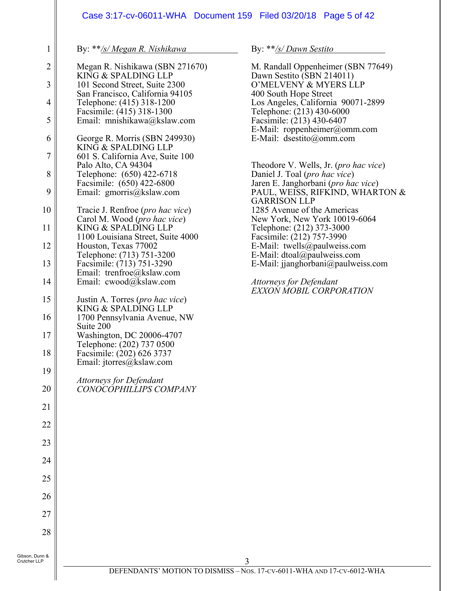# Case 3:17-cv-06011-WHA Document 159 Filed 03/20/18 Page 5 of 42

By: \*\**/s/ Megan R. Nishikawa*

1

Crutcher LLP

| $\overline{c}$ | Megan R. Nishikawa (SBN 271670)<br>KING & SPALDING LLP                                   |
|----------------|------------------------------------------------------------------------------------------|
| 3              | 101 Second Street, Suite 2300                                                            |
| 4              | San Francisco, California 94105<br>Telephone: (415) 318-1200                             |
| 5              | Facsimile: (415) 318-1300<br>Email: mnishikawa@kslaw.com                                 |
| 6              | George R. Morris (SBN 249930)                                                            |
| 7              | KING & SPALDING LLP<br>601 S. California Ave, Suite 100                                  |
| 8              | Palo Alto, CA 94304<br>Telephone: (650) 422-6718                                         |
| 9              | Facsimile: (650) 422-6800<br>Email: gmorris@kslaw.com                                    |
| 10             | Tracie J. Renfroe (pro hac vice)                                                         |
| 11             | Carol M. Wood (pro hac vice)<br>KING & SPALDING LLP<br>1100 Louisiana Street, Suite 4000 |
| 12             | Houston, Texas 77002                                                                     |
| 13             | Telephone: (713) 751-3200<br>Facsimile: (713) 751-3290<br>Email: trenfroe@kslaw.com      |
| 14             | Email: cwood@kslaw.com                                                                   |
| 15             | Justin A. Torres (pro hac vice)<br>KING & SPALDING LLP                                   |
| 16             | 1700 Pennsylvania Avenue, NW<br>Suite 200                                                |
| 17             | Washington, DC 20006-4707<br>Telephone: (202) 737 0500                                   |
| 18             | Facsimile: (202) 626 3737<br>Email: jtorres@kslaw.com                                    |
| 19             | Attorneys for Defendant                                                                  |
| 20             | CONOCOPHILLIPS COMPANY                                                                   |
| 21             |                                                                                          |
| 22             |                                                                                          |
| 23             |                                                                                          |
| 24             |                                                                                          |
| 25             |                                                                                          |
| 26             |                                                                                          |
| 27             |                                                                                          |
| 28             |                                                                                          |
| Gibson, Dunn & |                                                                                          |

By: \*\**/s/ Dawn Sestito*

M. Randall Oppenheimer (SBN 77649) Dawn Sestito (SBN 214011) O'MELVENY & MYERS LLP 400 South Hope Street Los Angeles, California 90071-2899 Telephone: (213) 430-6000 Facsimile: (213) 430-6407 E-Mail: roppenheimer@omm.com E-Mail: dsestito@omm.com Theodore V. Wells, Jr. (*pro hac vice*) Daniel J. Toal (*pro hac vice*) Jaren E. Janghorbani (*pro hac vice*) PAUL, WEISS, RIFKIND, WHARTON & GARRISON LLP 1285 Avenue of the Americas New York, New York 10019-6064 Telephone: (212) 373-3000 Facsimile: (212) 757-3990 E-Mail: twells@paulweiss.com E-Mail: dtoal@paulweiss.com E-Mail: jjanghorbani@paulweiss.com *Attorneys for Defendant EXXON MOBIL CORPORATION*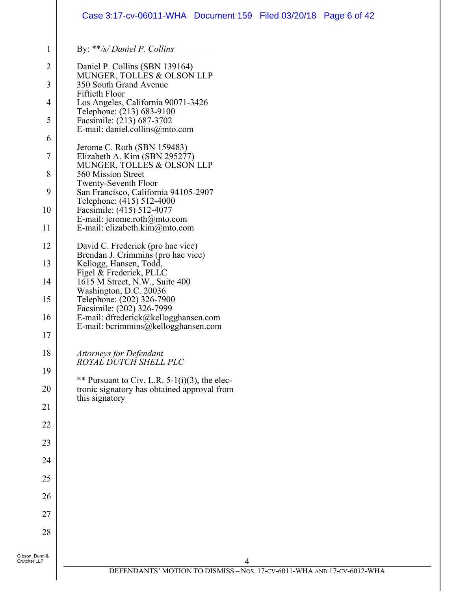#### 1 2 3 4 5 6 7 8 9 10 11 12 13 14 15 16 17 18 19 20 21 22 23 24 25 26 27 28 Gibson, Dunn & Crutcher LLP By: \*\**/s/ Daniel P. Collins*  Daniel P. Collins (SBN 139164) MUNGER, TOLLES & OLSON LLP 350 South Grand Avenue Fiftieth Floor Los Angeles, California 90071-3426 Telephone: (213) 683-9100 Facsimile: (213) 687-3702 E-mail: daniel.collins@mto.com Jerome C. Roth (SBN 159483) Elizabeth A. Kim (SBN 295277) MUNGER, TOLLES & OLSON LLP 560 Mission Street Twenty-Seventh Floor San Francisco, California 94105-2907 Telephone: (415) 512-4000 Facsimile: (415) 512-4077 E-mail: jerome.roth@mto.com E-mail: elizabeth.kim@mto.com David C. Frederick (pro hac vice) Brendan J. Crimmins (pro hac vice) Kellogg, Hansen, Todd, Figel & Frederick, PLLC 1615 M Street, N.W., Suite 400 Washington, D.C. 20036 Telephone: (202) 326-7900 Facsimile: (202) 326-7999 E-mail: dfrederick@kellogghansen.com E-mail: bcrimmins@kellogghansen.com *Attorneys for Defendant ROYAL DUTCH SHELL PLC*  \*\* Pursuant to Civ. L.R.  $5-1(i)(3)$ , the electronic signatory has obtained approval from this signatory Case 3:17-cv-06011-WHA Document 159 Filed 03/20/18 Page 6 of 42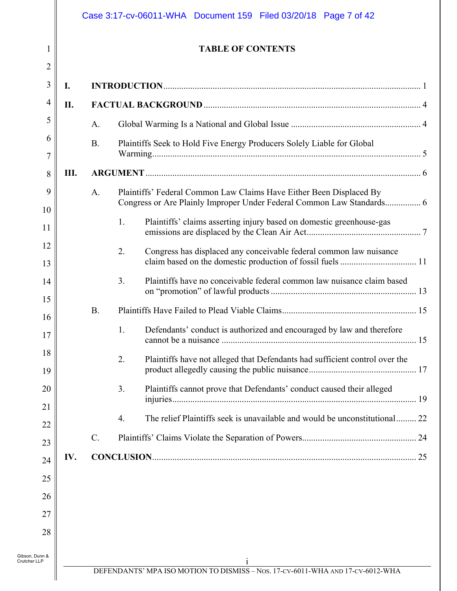|                                        | <b>TABLE OF CONTENTS</b>                                                                                                                           |
|----------------------------------------|----------------------------------------------------------------------------------------------------------------------------------------------------|
| $\overline{2}$<br>$\mathfrak{Z}$<br>I. |                                                                                                                                                    |
| 4<br>П.                                |                                                                                                                                                    |
| 5                                      | A.                                                                                                                                                 |
| 6<br>$\overline{7}$                    | Plaintiffs Seek to Hold Five Energy Producers Solely Liable for Global<br><b>B.</b>                                                                |
| Ш.<br>8                                |                                                                                                                                                    |
| 9<br>10                                | Plaintiffs' Federal Common Law Claims Have Either Been Displaced By<br>A.<br>Congress or Are Plainly Improper Under Federal Common Law Standards 6 |
| 11                                     | Plaintiffs' claims asserting injury based on domestic greenhouse-gas<br>1.                                                                         |
| 12<br>13                               | Congress has displaced any conceivable federal common law nuisance<br>2.                                                                           |
| 14                                     | 3.<br>Plaintiffs have no conceivable federal common law nuisance claim based                                                                       |
| 15<br>16                               | <b>B.</b>                                                                                                                                          |
| 17                                     | Defendants' conduct is authorized and encouraged by law and therefore<br>1.                                                                        |
| 18<br>19                               | 2.<br>Plaintiffs have not alleged that Defendants had sufficient control over the                                                                  |
| 20<br>21                               | 3.<br>Plaintiffs cannot prove that Defendants' conduct caused their alleged                                                                        |
| 22                                     | The relief Plaintiffs seek is unavailable and would be unconstitutional 22<br>4.                                                                   |
| 23                                     | $\mathcal{C}$ .                                                                                                                                    |
| IV.<br>24                              |                                                                                                                                                    |
| 25                                     |                                                                                                                                                    |
| 26                                     |                                                                                                                                                    |
| 27                                     |                                                                                                                                                    |
| 28                                     |                                                                                                                                                    |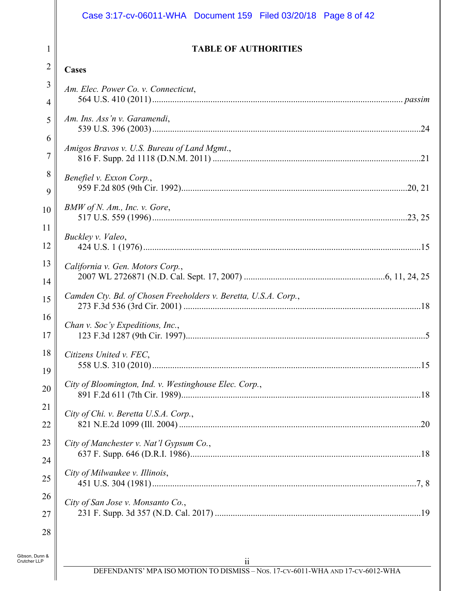# Case 3:17-cv-06011-WHA Document 159 Filed 03/20/18 Page 8 of 42

1

 $\mathbb{I}$ 

#### **TABLE OF AUTHORITIES**

| $\overline{2}$ | <b>Cases</b>                                                    |
|----------------|-----------------------------------------------------------------|
| 3              | Am. Elec. Power Co. v. Connecticut,                             |
| 4              |                                                                 |
| 5              | Am. Ins. Ass'n v. Garamendi,                                    |
| 6              |                                                                 |
| $\overline{7}$ | Amigos Bravos v. U.S. Bureau of Land Mgmt.,                     |
| 8              | Benefiel v. Exxon Corp.,                                        |
| 9              |                                                                 |
| 10             | BMW of N. Am., Inc. v. Gore,                                    |
| 11             | Buckley v. Valeo,                                               |
| 12             |                                                                 |
| 13             | California v. Gen. Motors Corp.,                                |
| 14             |                                                                 |
| 15             | Camden Cty. Bd. of Chosen Freeholders v. Beretta, U.S.A. Corp., |
| 16             | Chan v. Soc'y Expeditions, Inc.,                                |
| 17             |                                                                 |
| 18             | Citizens United v. FEC,                                         |
| 19             |                                                                 |
| 20             | City of Bloomington, Ind. v. Westinghouse Elec. Corp.,<br>.18   |
| 21             | City of Chi. v. Beretta U.S.A. Corp.,                           |
| 22             |                                                                 |
| 23             | City of Manchester v. Nat'l Gypsum Co.,                         |
| 24             |                                                                 |
| 25             | City of Milwaukee v. Illinois,                                  |
| 26             | City of San Jose v. Monsanto Co.,                               |
| 27             |                                                                 |
| 28             |                                                                 |
| Gibson, Dunn & |                                                                 |
| Crutcher LLP   | $\overline{\mathbf{u}}$                                         |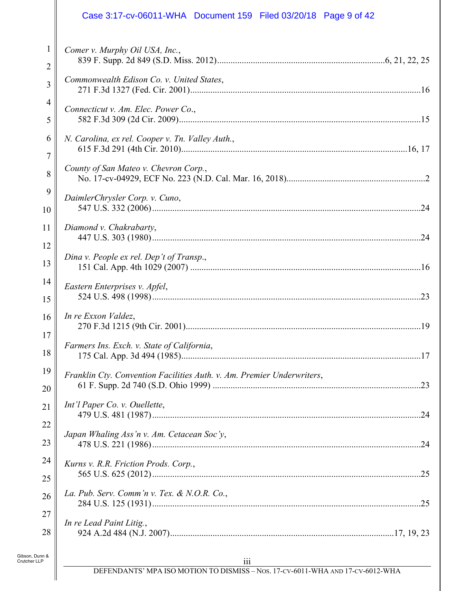# Case 3:17-cv-06011-WHA Document 159 Filed 03/20/18 Page 9 of 42

| $\mathbf{1}$   | Comer v. Murphy Oil USA, Inc.,                                         |
|----------------|------------------------------------------------------------------------|
| $\overline{2}$ |                                                                        |
| 3              | Commonwealth Edison Co. v. United States,                              |
| $\overline{4}$ | Connecticut v. Am. Elec. Power Co.,                                    |
| 5              |                                                                        |
| 6              | N. Carolina, ex rel. Cooper v. Tn. Valley Auth.,                       |
| 7              |                                                                        |
| $\,8\,$        | County of San Mateo v. Chevron Corp.,                                  |
| 9              | DaimlerChrysler Corp. v. Cuno,                                         |
| 10             |                                                                        |
| 11             | Diamond v. Chakrabarty,                                                |
| 12             | Dina v. People ex rel. Dep't of Transp.,                               |
| 13             |                                                                        |
| 14             | Eastern Enterprises v. Apfel,                                          |
| 15             |                                                                        |
| 16             | In re Exxon Valdez,                                                    |
| 17             | Farmers Ins. Exch. v. State of California,                             |
| 18             |                                                                        |
| 19             | Franklin Cty. Convention Facilities Auth. v. Am. Premier Underwriters, |
| 20             |                                                                        |
| 21             | Int'l Paper Co. v. Ouellette,                                          |
| 22             | Japan Whaling Ass'n v. Am. Cetacean Soc'y,                             |
| 23             |                                                                        |
| 24             | Kurns v. R.R. Friction Prods. Corp.,                                   |
| 25             |                                                                        |
| 26             | La. Pub. Serv. Comm'n v. Tex. & N.O.R. Co.,                            |
| 27             | In re Lead Paint Litig.,                                               |
| 28             |                                                                        |
| n &            |                                                                        |

 $\parallel$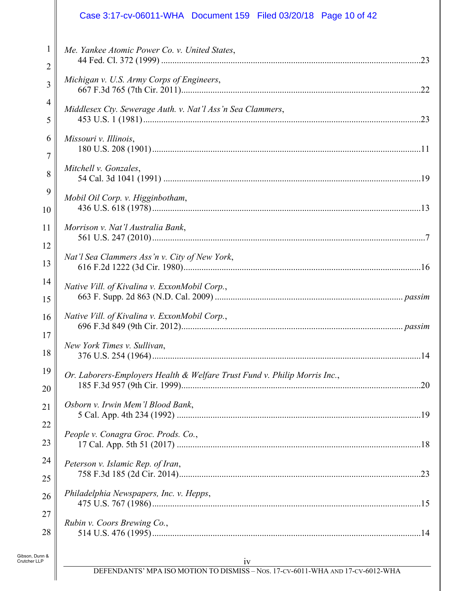# Case 3:17-cv-06011-WHA Document 159 Filed 03/20/18 Page 10 of 42

| $\mathbf{1}$        | Me. Yankee Atomic Power Co. v. United States,                             |
|---------------------|---------------------------------------------------------------------------|
| 2                   |                                                                           |
| 3                   | Michigan v. U.S. Army Corps of Engineers,                                 |
| $\overline{4}$<br>5 | Middlesex Cty. Sewerage Auth. v. Nat'l Ass'n Sea Clammers,                |
| 6                   | Missouri v. Illinois,                                                     |
| 7                   |                                                                           |
| 8                   | Mitchell v. Gonzales,                                                     |
| 9                   | Mobil Oil Corp. v. Higginbotham,                                          |
| 10                  |                                                                           |
| 11                  | Morrison v. Nat'l Australia Bank,                                         |
| 12                  |                                                                           |
| 13                  | Nat'l Sea Clammers Ass'n v. City of New York,                             |
| 14                  | Native Vill. of Kivalina v. ExxonMobil Corp.,                             |
| 15                  |                                                                           |
| 16                  | Native Vill. of Kivalina v. ExxonMobil Corp.,                             |
| 17                  |                                                                           |
| 18                  | New York Times v. Sullivan,                                               |
| 19                  | Or. Laborers-Employers Health & Welfare Trust Fund v. Philip Morris Inc., |
| 20                  |                                                                           |
| 21                  | Osborn v. Irwin Mem'l Blood Bank,                                         |
| 22                  | People v. Conagra Groc. Prods. Co.,                                       |
| 23                  |                                                                           |
| 24                  | Peterson v. Islamic Rep. of Iran,                                         |
| 25                  |                                                                           |
| 26                  | Philadelphia Newspapers, Inc. v. Hepps,                                   |
| 27                  |                                                                           |
| 28                  | Rubin v. Coors Brewing Co.,                                               |
|                     |                                                                           |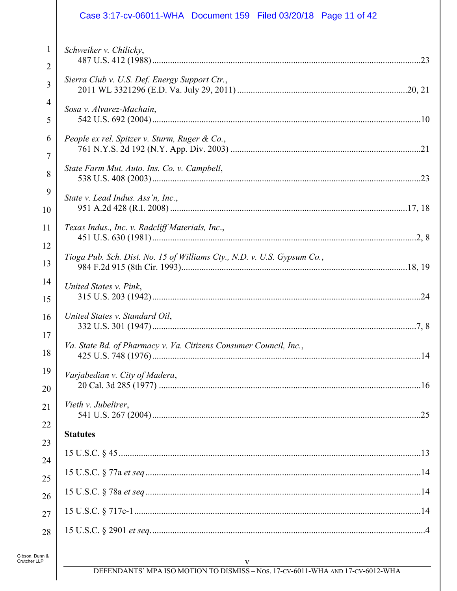|                                | Case 3:17-cv-06011-WHA  Document 159  Filed 03/20/18  Page 11 of 42     |
|--------------------------------|-------------------------------------------------------------------------|
| $\mathbf{1}$<br>$\overline{2}$ | Schweiker v. Chilicky,                                                  |
| 3                              | Sierra Club v. U.S. Def. Energy Support Ctr.,                           |
| $\overline{4}$<br>5            | Sosa v. Alvarez-Machain,                                                |
| 6<br>7                         | People ex rel. Spitzer v. Sturm, Ruger & Co.,                           |
| 8                              | State Farm Mut. Auto. Ins. Co. v. Campbell,                             |
| 9<br>$\overline{10}$           | State v. Lead Indus. Ass'n, Inc.,                                       |
| $\overline{11}$<br>12          | Texas Indus., Inc. v. Radcliff Materials, Inc.,                         |
| 13                             | Tioga Pub. Sch. Dist. No. 15 of Williams Cty., N.D. v. U.S. Gypsum Co., |
| $\overline{14}$<br>15          | United States v. Pink,                                                  |
| 16<br>$17 \parallel$           | United States v. Standard Oil,                                          |
| 18                             | Va. State Bd. of Pharmacy v. Va. Citizens Consumer Council, Inc.,       |
| 19<br>20 <sup>2</sup>          | Varjabedian v. City of Madera,                                          |
| 21<br>$^{22}$                  | Vieth v. Jubelirer,                                                     |
| $\overline{23}$                | <b>Statutes</b>                                                         |
| $^{24}$                        |                                                                         |
| 25                             |                                                                         |
| 26<br>27                       |                                                                         |
| 28                             |                                                                         |
|                                |                                                                         |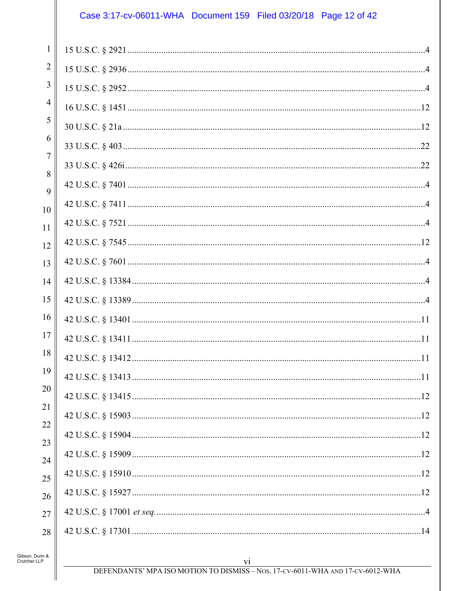# Case 3:17-cv-06011-WHA Document 159 Filed 03/20/18 Page 12 of 42

| 1        |  |
|----------|--|
| 2        |  |
| 3        |  |
| 4        |  |
| 5        |  |
| 6        |  |
| 7<br>8   |  |
| 9        |  |
| 10       |  |
| 11       |  |
| 12       |  |
| 13       |  |
| 14       |  |
| 15       |  |
| 16       |  |
| 17       |  |
| 18       |  |
| 19       |  |
| 20       |  |
| 21       |  |
| 22<br>23 |  |
| 24       |  |
| 25       |  |
| 26       |  |
| 27       |  |
| 28       |  |
|          |  |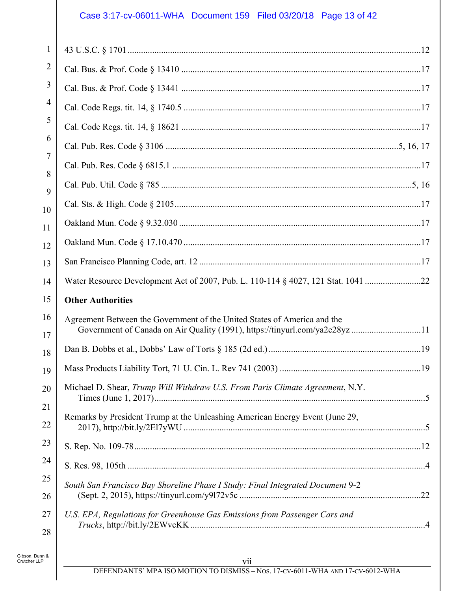# Case 3:17-cv-06011-WHA Document 159 Filed 03/20/18 Page 13 of 42

| 1              |                                                                                                                                                        |  |
|----------------|--------------------------------------------------------------------------------------------------------------------------------------------------------|--|
| 2              |                                                                                                                                                        |  |
| 3              |                                                                                                                                                        |  |
| 4              |                                                                                                                                                        |  |
| 5              |                                                                                                                                                        |  |
| 6              |                                                                                                                                                        |  |
| 7              |                                                                                                                                                        |  |
| 8<br>9         |                                                                                                                                                        |  |
| 10             |                                                                                                                                                        |  |
| 11             |                                                                                                                                                        |  |
| 12             |                                                                                                                                                        |  |
| 13             |                                                                                                                                                        |  |
| 14             | Water Resource Development Act of 2007, Pub. L. 110-114 § 4027, 121 Stat. 1041 22                                                                      |  |
| 15             | <b>Other Authorities</b>                                                                                                                               |  |
| 16<br>17       | Agreement Between the Government of the United States of America and the<br>Government of Canada on Air Quality (1991), https://tinyurl.com/ya2e28yz11 |  |
| 18             |                                                                                                                                                        |  |
| 19             |                                                                                                                                                        |  |
| 20<br>21       | Michael D. Shear, Trump Will Withdraw U.S. From Paris Climate Agreement, N.Y.                                                                          |  |
| 22             | Remarks by President Trump at the Unleashing American Energy Event (June 29,                                                                           |  |
| 23             |                                                                                                                                                        |  |
| 24             |                                                                                                                                                        |  |
| 25             | South San Francisco Bay Shoreline Phase I Study: Final Integrated Document 9-2                                                                         |  |
|                |                                                                                                                                                        |  |
| 26<br>27<br>28 | U.S. EPA, Regulations for Greenhouse Gas Emissions from Passenger Cars and                                                                             |  |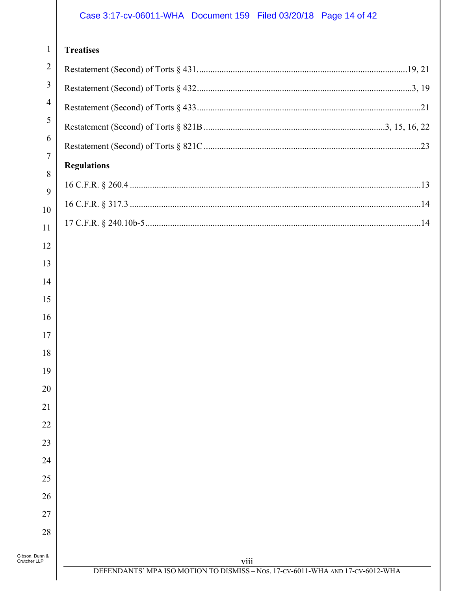# Case 3:17-cv-06011-WHA Document 159 Filed 03/20/18 Page 14 of 42

#### 1 II **Treatises**

 $\parallel$ 

|                                | 11 causes          |  |
|--------------------------------|--------------------|--|
| $\overline{2}$                 |                    |  |
| 3                              |                    |  |
| $\overline{4}$                 |                    |  |
| 5                              |                    |  |
| 6                              |                    |  |
| $\overline{7}$                 | <b>Regulations</b> |  |
| 8                              |                    |  |
| 9<br>10                        |                    |  |
| 11                             |                    |  |
| 12                             |                    |  |
| 13                             |                    |  |
| 14                             |                    |  |
| 15                             |                    |  |
| 16                             |                    |  |
| 17                             |                    |  |
| 18                             |                    |  |
| 19                             |                    |  |
| 20                             |                    |  |
| 21                             |                    |  |
| 22                             |                    |  |
| 23                             |                    |  |
| 24                             |                    |  |
| 25                             |                    |  |
| 26                             |                    |  |
| 27                             |                    |  |
| 28                             |                    |  |
| Gibson, Dunn &<br>Crutcher LLP | viii               |  |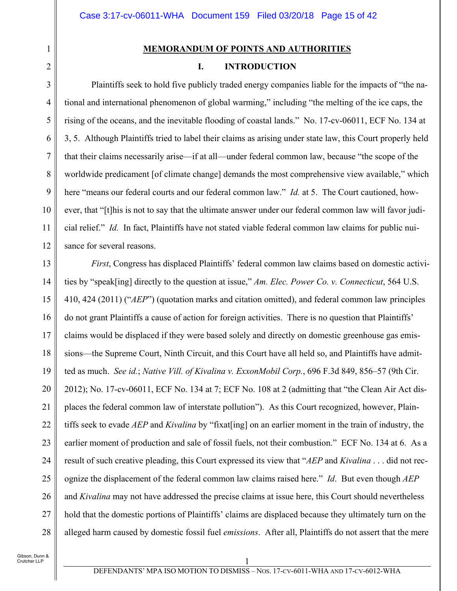#### **MEMORANDUM OF POINTS AND AUTHORITIES**

### **I. INTRODUCTION**

Plaintiffs seek to hold five publicly traded energy companies liable for the impacts of "the national and international phenomenon of global warming," including "the melting of the ice caps, the rising of the oceans, and the inevitable flooding of coastal lands." No. 17-cv-06011, ECF No. 134 at 3, 5. Although Plaintiffs tried to label their claims as arising under state law, this Court properly held that their claims necessarily arise—if at all—under federal common law, because "the scope of the worldwide predicament [of climate change] demands the most comprehensive view available," which here "means our federal courts and our federal common law." *Id.* at 5. The Court cautioned, however, that "[t]his is not to say that the ultimate answer under our federal common law will favor judicial relief." *Id.* In fact, Plaintiffs have not stated viable federal common law claims for public nuisance for several reasons.

13 14 15 16 17 18 19 20 21 22 23 24 25 26 27 28 *First*, Congress has displaced Plaintiffs' federal common law claims based on domestic activities by "speak[ing] directly to the question at issue," *Am. Elec. Power Co. v. Connecticut*, 564 U.S. 410, 424 (2011) ("*AEP*") (quotation marks and citation omitted), and federal common law principles do not grant Plaintiffs a cause of action for foreign activities. There is no question that Plaintiffs' claims would be displaced if they were based solely and directly on domestic greenhouse gas emissions—the Supreme Court, Ninth Circuit, and this Court have all held so, and Plaintiffs have admitted as much. *See id.*; *Native Vill. of Kivalina v. ExxonMobil Corp.*, 696 F.3d 849, 856–57 (9th Cir. 2012); No. 17-cv-06011, ECF No. 134 at 7; ECF No. 108 at 2 (admitting that "the Clean Air Act displaces the federal common law of interstate pollution"). As this Court recognized, however, Plaintiffs seek to evade *AEP* and *Kivalina* by "fixat[ing] on an earlier moment in the train of industry, the earlier moment of production and sale of fossil fuels, not their combustion." ECF No. 134 at 6. As a result of such creative pleading, this Court expressed its view that "*AEP* and *Kivalina* . . . did not recognize the displacement of the federal common law claims raised here." *Id*. But even though *AEP*  and *Kivalina* may not have addressed the precise claims at issue here, this Court should nevertheless hold that the domestic portions of Plaintiffs' claims are displaced because they ultimately turn on the alleged harm caused by domestic fossil fuel *emissions*. After all, Plaintiffs do not assert that the mere

1

2

3

4

5

6

7

8

9

10

11

12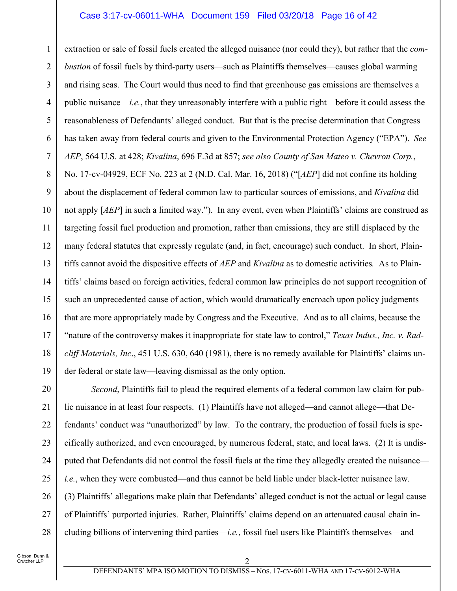#### Case 3:17-cv-06011-WHA Document 159 Filed 03/20/18 Page 16 of 42

1 2 3 4 5 6 7 8 9 10 11 12 13 14 15 16 17 18 19 extraction or sale of fossil fuels created the alleged nuisance (nor could they), but rather that the *combustion* of fossil fuels by third-party users—such as Plaintiffs themselves—causes global warming and rising seas. The Court would thus need to find that greenhouse gas emissions are themselves a public nuisance—*i.e.*, that they unreasonably interfere with a public right—before it could assess the reasonableness of Defendants' alleged conduct. But that is the precise determination that Congress has taken away from federal courts and given to the Environmental Protection Agency ("EPA"). *See AEP*, 564 U.S. at 428; *Kivalina*, 696 F.3d at 857; *see also County of San Mateo v. Chevron Corp.*, No. 17-cv-04929, ECF No. 223 at 2 (N.D. Cal. Mar. 16, 2018) ("[*AEP*] did not confine its holding about the displacement of federal common law to particular sources of emissions, and *Kivalina* did not apply [*AEP*] in such a limited way."). In any event, even when Plaintiffs' claims are construed as targeting fossil fuel production and promotion, rather than emissions, they are still displaced by the many federal statutes that expressly regulate (and, in fact, encourage) such conduct. In short, Plaintiffs cannot avoid the dispositive effects of *AEP* and *Kivalina* as to domestic activities*.* As to Plaintiffs' claims based on foreign activities, federal common law principles do not support recognition of such an unprecedented cause of action, which would dramatically encroach upon policy judgments that are more appropriately made by Congress and the Executive. And as to all claims, because the "nature of the controversy makes it inappropriate for state law to control," *Texas Indus., Inc. v. Radcliff Materials, Inc*., 451 U.S. 630, 640 (1981), there is no remedy available for Plaintiffs' claims under federal or state law—leaving dismissal as the only option.

20 21 22 23 24 25 26 27 28 *Second*, Plaintiffs fail to plead the required elements of a federal common law claim for public nuisance in at least four respects. (1) Plaintiffs have not alleged—and cannot allege—that Defendants' conduct was "unauthorized" by law. To the contrary, the production of fossil fuels is specifically authorized, and even encouraged, by numerous federal, state, and local laws. (2) It is undisputed that Defendants did not control the fossil fuels at the time they allegedly created the nuisance *i.e.*, when they were combusted—and thus cannot be held liable under black-letter nuisance law. (3) Plaintiffs' allegations make plain that Defendants' alleged conduct is not the actual or legal cause of Plaintiffs' purported injuries. Rather, Plaintiffs' claims depend on an attenuated causal chain including billions of intervening third parties—*i.e.*, fossil fuel users like Plaintiffs themselves—and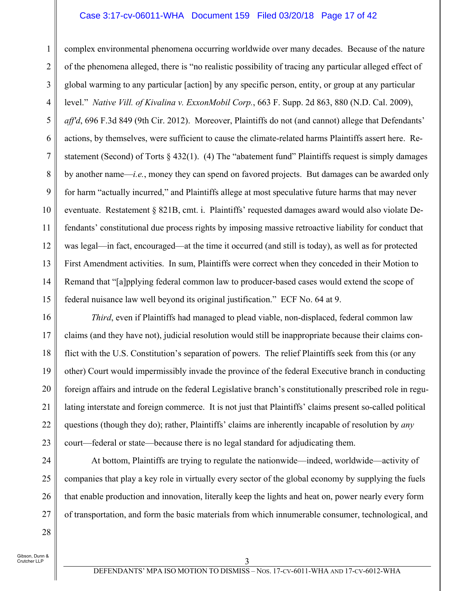#### Case 3:17-cv-06011-WHA Document 159 Filed 03/20/18 Page 17 of 42

1 2 3 4 5 6 7 8 9 10 11 12 13 14 15 complex environmental phenomena occurring worldwide over many decades. Because of the nature of the phenomena alleged, there is "no realistic possibility of tracing any particular alleged effect of global warming to any particular [action] by any specific person, entity, or group at any particular level." *Native Vill. of Kivalina v. ExxonMobil Corp.*, 663 F. Supp. 2d 863, 880 (N.D. Cal. 2009), *aff'd*, 696 F.3d 849 (9th Cir. 2012). Moreover, Plaintiffs do not (and cannot) allege that Defendants' actions, by themselves, were sufficient to cause the climate-related harms Plaintiffs assert here. Restatement (Second) of Torts § 432(1). (4) The "abatement fund" Plaintiffs request is simply damages by another name—*i.e.*, money they can spend on favored projects. But damages can be awarded only for harm "actually incurred," and Plaintiffs allege at most speculative future harms that may never eventuate. Restatement § 821B, cmt. i. Plaintiffs' requested damages award would also violate Defendants' constitutional due process rights by imposing massive retroactive liability for conduct that was legal—in fact, encouraged—at the time it occurred (and still is today), as well as for protected First Amendment activities. In sum, Plaintiffs were correct when they conceded in their Motion to Remand that "[a]pplying federal common law to producer-based cases would extend the scope of federal nuisance law well beyond its original justification." ECF No. 64 at 9.

16 17 18 19 20 21 22 23 *Third*, even if Plaintiffs had managed to plead viable, non-displaced, federal common law claims (and they have not), judicial resolution would still be inappropriate because their claims conflict with the U.S. Constitution's separation of powers. The relief Plaintiffs seek from this (or any other) Court would impermissibly invade the province of the federal Executive branch in conducting foreign affairs and intrude on the federal Legislative branch's constitutionally prescribed role in regulating interstate and foreign commerce. It is not just that Plaintiffs' claims present so-called political questions (though they do); rather, Plaintiffs' claims are inherently incapable of resolution by *any* court—federal or state—because there is no legal standard for adjudicating them.

24 25 26 27 At bottom, Plaintiffs are trying to regulate the nationwide—indeed, worldwide—activity of companies that play a key role in virtually every sector of the global economy by supplying the fuels that enable production and innovation, literally keep the lights and heat on, power nearly every form of transportation, and form the basic materials from which innumerable consumer, technological, and

Gibson, Dunn & Crutcher LLP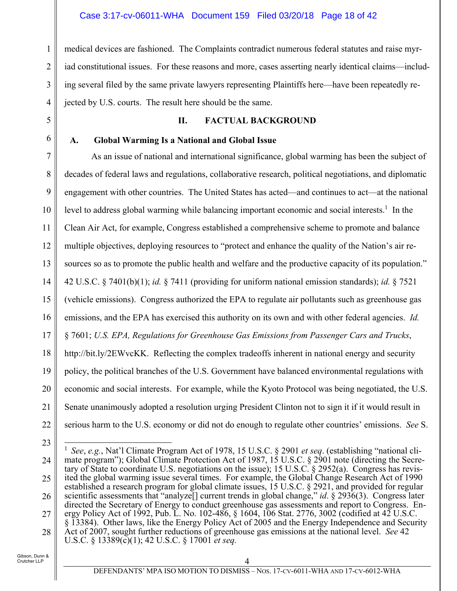medical devices are fashioned. The Complaints contradict numerous federal statutes and raise myriad constitutional issues. For these reasons and more, cases asserting nearly identical claims—including several filed by the same private lawyers representing Plaintiffs here—have been repeatedly rejected by U.S. courts. The result here should be the same.

#### **II. FACTUAL BACKGROUND**

#### **A. Global Warming Is a National and Global Issue**

7 8 9 10 11 12 13 14 15 16 17 18 19 20 21 22 As an issue of national and international significance, global warming has been the subject of decades of federal laws and regulations, collaborative research, political negotiations, and diplomatic engagement with other countries. The United States has acted—and continues to act—at the national level to address global warming while balancing important economic and social interests.<sup>1</sup> In the Clean Air Act, for example, Congress established a comprehensive scheme to promote and balance multiple objectives, deploying resources to "protect and enhance the quality of the Nation's air resources so as to promote the public health and welfare and the productive capacity of its population." 42 U.S.C. § 7401(b)(1); *id.* § 7411 (providing for uniform national emission standards); *id.* § 7521 (vehicle emissions). Congress authorized the EPA to regulate air pollutants such as greenhouse gas emissions, and the EPA has exercised this authority on its own and with other federal agencies. *Id.* § 7601; *U.S. EPA, Regulations for Greenhouse Gas Emissions from Passenger Cars and Trucks*, http://bit.ly/2EWvcKK. Reflecting the complex tradeoffs inherent in national energy and security policy, the political branches of the U.S. Government have balanced environmental regulations with economic and social interests. For example, while the Kyoto Protocol was being negotiated, the U.S. Senate unanimously adopted a resolution urging President Clinton not to sign it if it would result in serious harm to the U.S. economy or did not do enough to regulate other countries' emissions. *See* S.

23

 $\overline{a}$ 

1

2

3

4

5

6

<sup>24</sup> 25 26 27 28 1 *See*, *e.g.*, Nat'l Climate Program Act of 1978, 15 U.S.C. § 2901 *et seq*. (establishing "national climate program"); Global Climate Protection Act of 1987, 15 U.S.C. § 2901 note (directing the Secretary of State to coordinate U.S. negotiations on the issue); 15 U.S.C. § 2952(a). Congress has revisited the global warming issue several times. For example, the Global Change Research Act of 1990 established a research program for global climate issues, 15 U.S.C. § 2921, and provided for regular scientific assessments that "analyze[] current trends in global change," *id*. § 2936(3). Congress later directed the Secretary of Energy to conduct greenhouse gas assessments and report to Congress. Energy Policy Act of 1992, Pub. L. No. 102-486, § 1604, 106 Stat. 2776, 3002 (codified at 42 U.S.C. § 13384). Other laws, like the Energy Policy Act of 2005 and the Energy Independence and Security Act of 2007, sought further reductions of greenhouse gas emissions at the national level. *See* 42 U.S.C. § 13389(c)(1); 42 U.S.C. § 17001 *et seq.*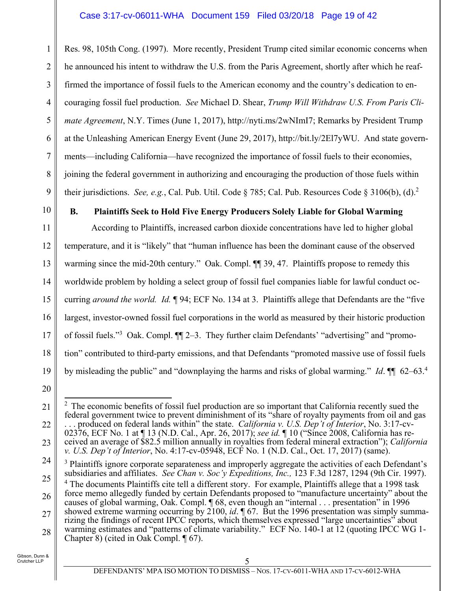Res. 98, 105th Cong. (1997). More recently, President Trump cited similar economic concerns when he announced his intent to withdraw the U.S. from the Paris Agreement, shortly after which he reaffirmed the importance of fossil fuels to the American economy and the country's dedication to encouraging fossil fuel production. *See* Michael D. Shear, *Trump Will Withdraw U.S. From Paris Climate Agreement*, N.Y. Times (June 1, 2017), http://nyti.ms/2wNImI7; Remarks by President Trump at the Unleashing American Energy Event (June 29, 2017), http://bit.ly/2El7yWU. And state governments—including California—have recognized the importance of fossil fuels to their economies, joining the federal government in authorizing and encouraging the production of those fuels within their jurisdictions. *See, e.g.*, Cal. Pub. Util. Code § 785; Cal. Pub. Resources Code § 3106(b), (d).2

10

1

2

3

4

5

6

7

8

9

# **B. Plaintiffs Seek to Hold Five Energy Producers Solely Liable for Global Warming**

11 12 13 14 15 16 17 18 19 According to Plaintiffs, increased carbon dioxide concentrations have led to higher global temperature, and it is "likely" that "human influence has been the dominant cause of the observed warming since the mid-20th century." Oak. Compl.  $\P$  39, 47. Plaintiffs propose to remedy this worldwide problem by holding a select group of fossil fuel companies liable for lawful conduct occurring *around the world. Id.* ¶ 94; ECF No. 134 at 3. Plaintiffs allege that Defendants are the "five largest, investor-owned fossil fuel corporations in the world as measured by their historic production of fossil fuels."<sup>3</sup> Oak. Compl. II 2-3. They further claim Defendants' "advertising" and "promotion" contributed to third-party emissions, and that Defendants "promoted massive use of fossil fuels by misleading the public" and "downplaying the harms and risks of global warming." *Id*. ¶¶ 62–63.<sup>4</sup>

20

24 25 26 <sup>3</sup> Plaintiffs ignore corporate separateness and improperly aggregate the activities of each Defendant's subsidiaries and affiliates. *See Chan v. Soc'y Expeditions, Inc.,* 123 F.3d 1287, 1294 (9th Cir. 1997). <sup>4</sup> The documents Plaintiffs cite tell a different story. For example, Plaintiffs allege that a 1998 task force memo allegedly funded by certain Defendants proposed to "manufacture uncertainty" about the

27 28 causes of global warming, Oak. Compl. ¶ 68, even though an "internal . . . presentation" in 1996 showed extreme warming occurring by 2100, *id*. 1 67. But the 1996 presentation was simply summarizing the findings of recent IPCC reports, which themselves expressed "large uncertainties" about warming estimates and "patterns of climate variability." ECF No. 140-1 at 12 (quoting IPCC WG 1-Chapter 8) (cited in Oak Compl. ¶ 67).

<sup>21</sup> 22 23  $\overline{a}$  $2$  The economic benefits of fossil fuel production are so important that California recently sued the federal government twice to prevent diminishment of its "share of royalty payments from oil and gas . . . produced on federal lands within" the state. *California v. U.S. Dep't of Interior*, No. 3:17-cv-02376, ECF No. 1 at ¶ 13 (N.D. Cal., Apr. 26, 2017); *see id.* ¶ 10 ("Since 2008, California has received an average of \$82.5 million annually in royalties from federal mineral extraction"); *California v. U.S. Dep't of Interior*, No. 4:17-cv-05948, ECF No. 1 (N.D. Cal., Oct. 17, 2017) (same).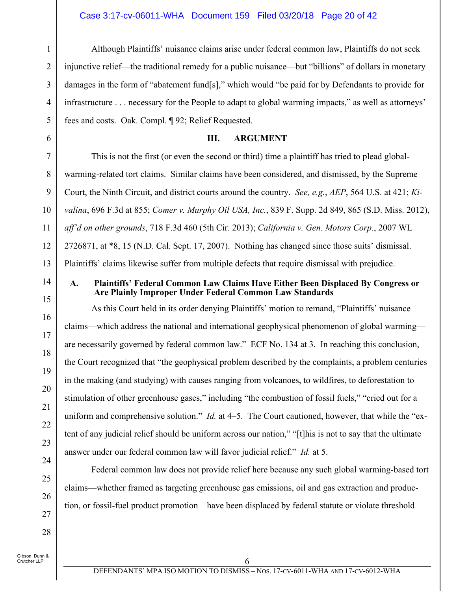Although Plaintiffs' nuisance claims arise under federal common law, Plaintiffs do not seek injunctive relief—the traditional remedy for a public nuisance—but "billions" of dollars in monetary damages in the form of "abatement fund[s]," which would "be paid for by Defendants to provide for infrastructure . . . necessary for the People to adapt to global warming impacts," as well as attorneys' fees and costs. Oak. Compl. ¶ 92; Relief Requested.

#### **III. ARGUMENT**

This is not the first (or even the second or third) time a plaintiff has tried to plead globalwarming-related tort claims. Similar claims have been considered, and dismissed, by the Supreme Court, the Ninth Circuit, and district courts around the country. *See, e.g.*, *AEP*, 564 U.S. at 421; *Kivalina*, 696 F.3d at 855; *Comer v. Murphy Oil USA, Inc.*, 839 F. Supp. 2d 849, 865 (S.D. Miss. 2012), *aff'd on other grounds*, 718 F.3d 460 (5th Cir. 2013); *California v. Gen. Motors Corp.*, 2007 WL 2726871, at \*8, 15 (N.D. Cal. Sept. 17, 2007). Nothing has changed since those suits' dismissal. Plaintiffs' claims likewise suffer from multiple defects that require dismissal with prejudice.

14

1

2

3

4

5

6

7

8

9

10

11

12

13

15

16

17

18

19

20

21

22

23

24

25

26

27

28

#### **A. Plaintiffs' Federal Common Law Claims Have Either Been Displaced By Congress or Are Plainly Improper Under Federal Common Law Standards**

As this Court held in its order denying Plaintiffs' motion to remand, "Plaintiffs' nuisance claims—which address the national and international geophysical phenomenon of global warming are necessarily governed by federal common law." ECF No. 134 at 3. In reaching this conclusion, the Court recognized that "the geophysical problem described by the complaints, a problem centuries in the making (and studying) with causes ranging from volcanoes, to wildfires, to deforestation to stimulation of other greenhouse gases," including "the combustion of fossil fuels," "cried out for a uniform and comprehensive solution." *Id.* at 4–5. The Court cautioned, however, that while the "extent of any judicial relief should be uniform across our nation," "[t]his is not to say that the ultimate answer under our federal common law will favor judicial relief." *Id.* at 5.

Federal common law does not provide relief here because any such global warming-based tort claims—whether framed as targeting greenhouse gas emissions, oil and gas extraction and production, or fossil-fuel product promotion—have been displaced by federal statute or violate threshold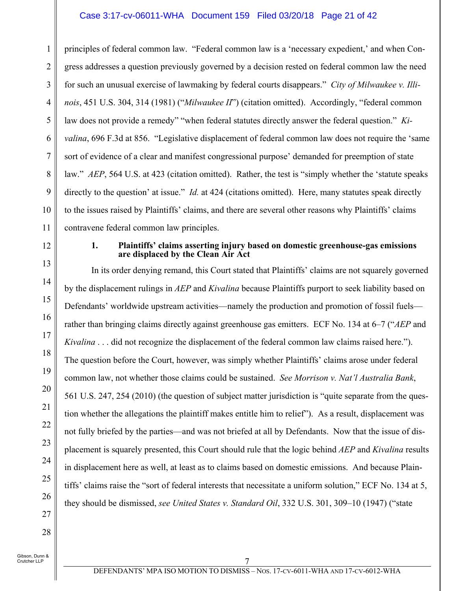#### Case 3:17-cv-06011-WHA Document 159 Filed 03/20/18 Page 21 of 42

1 2 3 4 5 6 7 8 9 10 11 principles of federal common law. "Federal common law is a 'necessary expedient,' and when Congress addresses a question previously governed by a decision rested on federal common law the need for such an unusual exercise of lawmaking by federal courts disappears." *City of Milwaukee v. Illinois*, 451 U.S. 304, 314 (1981) ("*Milwaukee II*") (citation omitted). Accordingly, "federal common law does not provide a remedy" "when federal statutes directly answer the federal question." *Kivalina*, 696 F.3d at 856. "Legislative displacement of federal common law does not require the 'same sort of evidence of a clear and manifest congressional purpose' demanded for preemption of state law." *AEP*, 564 U.S. at 423 (citation omitted). Rather, the test is "simply whether the 'statute speaks directly to the question' at issue." *Id.* at 424 (citations omitted). Here, many statutes speak directly to the issues raised by Plaintiffs' claims, and there are several other reasons why Plaintiffs' claims contravene federal common law principles.

12

13

14

15

16

17

18

19

20

21

22

23

24

25

26

27

28

#### **1. Plaintiffs' claims asserting injury based on domestic greenhouse-gas emissions are displaced by the Clean Air Act**

In its order denying remand, this Court stated that Plaintiffs' claims are not squarely governed by the displacement rulings in *AEP* and *Kivalina* because Plaintiffs purport to seek liability based on Defendants' worldwide upstream activities—namely the production and promotion of fossil fuels rather than bringing claims directly against greenhouse gas emitters. ECF No. 134 at 6–7 ("*AEP* and *Kivalina* . . . did not recognize the displacement of the federal common law claims raised here."). The question before the Court, however, was simply whether Plaintiffs' claims arose under federal common law, not whether those claims could be sustained. *See Morrison v. Nat'l Australia Bank*, 561 U.S. 247, 254 (2010) (the question of subject matter jurisdiction is "quite separate from the question whether the allegations the plaintiff makes entitle him to relief"). As a result, displacement was not fully briefed by the parties—and was not briefed at all by Defendants. Now that the issue of displacement is squarely presented, this Court should rule that the logic behind *AEP* and *Kivalina* results in displacement here as well, at least as to claims based on domestic emissions. And because Plaintiffs' claims raise the "sort of federal interests that necessitate a uniform solution," ECF No. 134 at 5, they should be dismissed, *see United States v. Standard Oil*, 332 U.S. 301, 309–10 (1947) ("state

Gibson, Dunn &

Crutcher LLP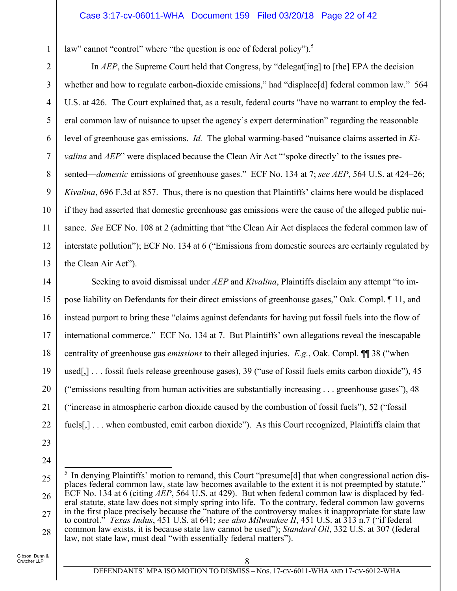law" cannot "control" where "the question is one of federal policy").<sup>5</sup>

7 In *AEP*, the Supreme Court held that Congress, by "delegat[ing] to [the] EPA the decision whether and how to regulate carbon-dioxide emissions," had "displace[d] federal common law." 564 U.S. at 426. The Court explained that, as a result, federal courts "have no warrant to employ the federal common law of nuisance to upset the agency's expert determination" regarding the reasonable level of greenhouse gas emissions. *Id.* The global warming-based "nuisance claims asserted in *Kivalina* and *AEP*" were displaced because the Clean Air Act "'spoke directly' to the issues presented—*domestic* emissions of greenhouse gases." ECF No. 134 at 7; *see AEP*, 564 U.S. at 424–26; *Kivalina*, 696 F.3d at 857. Thus, there is no question that Plaintiffs' claims here would be displaced if they had asserted that domestic greenhouse gas emissions were the cause of the alleged public nuisance. *See* ECF No. 108 at 2 (admitting that "the Clean Air Act displaces the federal common law of interstate pollution"); ECF No. 134 at 6 ("Emissions from domestic sources are certainly regulated by the Clean Air Act").

14 15 16 17 18 19 20 21 22 Seeking to avoid dismissal under *AEP* and *Kivalina*, Plaintiffs disclaim any attempt "to impose liability on Defendants for their direct emissions of greenhouse gases," Oak*.* Compl. ¶ 11, and instead purport to bring these "claims against defendants for having put fossil fuels into the flow of international commerce." ECF No. 134 at 7. But Plaintiffs' own allegations reveal the inescapable centrality of greenhouse gas *emissions* to their alleged injuries. *E.g.*, Oak. Compl. ¶¶ 38 ("when used[,] . . . fossil fuels release greenhouse gases), 39 ("use of fossil fuels emits carbon dioxide"), 45 ("emissions resulting from human activities are substantially increasing . . . greenhouse gases"), 48 ("increase in atmospheric carbon dioxide caused by the combustion of fossil fuels"), 52 ("fossil fuels[,] . . . when combusted, emit carbon dioxide"). As this Court recognized, Plaintiffs claim that

23

1

2

3

4

5

6

8

9

10

11

12

13

<sup>25</sup> 26 27 28  $\overline{a}$ <sup>5</sup> In denying Plaintiffs' motion to remand, this Court "presume<sup>[d]</sup> that when congressional action displaces federal common law, state law becomes available to the extent it is not preempted by statute." ECF No. 134 at 6 (citing *AEP*, 564 U.S. at 429). But when federal common law is displaced by federal statute, state law does not simply spring into life. To the contrary, federal common law governs in the first place precisely because the "nature of the controversy makes it inappropriate for state law to control." *Texas Indus*, 451 U.S. at 641; *see also Milwaukee II*, 451 U.S. at 313 n.7 ("if federal common law exists, it is because state law cannot be used"); *Standard Oil*, 332 U.S. at 307 (federal law, not state law, must deal "with essentially federal matters").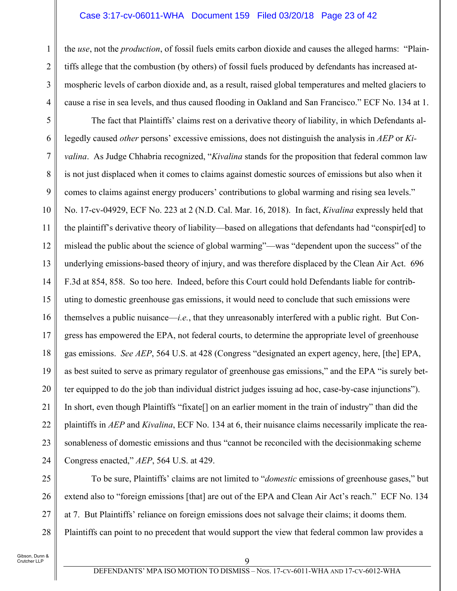#### Case 3:17-cv-06011-WHA Document 159 Filed 03/20/18 Page 23 of 42

the *use*, not the *production*, of fossil fuels emits carbon dioxide and causes the alleged harms: "Plaintiffs allege that the combustion (by others) of fossil fuels produced by defendants has increased atmospheric levels of carbon dioxide and, as a result, raised global temperatures and melted glaciers to cause a rise in sea levels, and thus caused flooding in Oakland and San Francisco." ECF No. 134 at 1.

5 6 7 8 9 10 11 12 13 14 15 16 17 18 19 20 21 22 23 24 The fact that Plaintiffs' claims rest on a derivative theory of liability, in which Defendants allegedly caused *other* persons' excessive emissions, does not distinguish the analysis in *AEP* or *Kivalina*. As Judge Chhabria recognized, "*Kivalina* stands for the proposition that federal common law is not just displaced when it comes to claims against domestic sources of emissions but also when it comes to claims against energy producers' contributions to global warming and rising sea levels." No. 17-cv-04929, ECF No. 223 at 2 (N.D. Cal. Mar. 16, 2018). In fact, *Kivalina* expressly held that the plaintiff's derivative theory of liability—based on allegations that defendants had "conspir[ed] to mislead the public about the science of global warming"—was "dependent upon the success" of the underlying emissions-based theory of injury, and was therefore displaced by the Clean Air Act. 696 F.3d at 854, 858. So too here. Indeed, before this Court could hold Defendants liable for contributing to domestic greenhouse gas emissions, it would need to conclude that such emissions were themselves a public nuisance—*i.e.*, that they unreasonably interfered with a public right. But Congress has empowered the EPA, not federal courts, to determine the appropriate level of greenhouse gas emissions. *See AEP*, 564 U.S. at 428 (Congress "designated an expert agency, here, [the] EPA, as best suited to serve as primary regulator of greenhouse gas emissions," and the EPA "is surely better equipped to do the job than individual district judges issuing ad hoc, case-by-case injunctions"). In short, even though Plaintiffs "fixate[] on an earlier moment in the train of industry" than did the plaintiffs in *AEP* and *Kivalina*, ECF No. 134 at 6, their nuisance claims necessarily implicate the reasonableness of domestic emissions and thus "cannot be reconciled with the decisionmaking scheme Congress enacted," *AEP*, 564 U.S. at 429.

25 26 27 28 To be sure, Plaintiffs' claims are not limited to "*domestic* emissions of greenhouse gases," but extend also to "foreign emissions [that] are out of the EPA and Clean Air Act's reach." ECF No. 134 at 7. But Plaintiffs' reliance on foreign emissions does not salvage their claims; it dooms them. Plaintiffs can point to no precedent that would support the view that federal common law provides a

1

2

3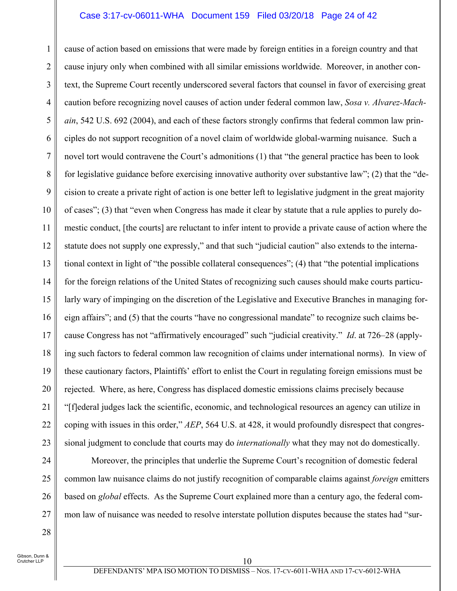#### Case 3:17-cv-06011-WHA Document 159 Filed 03/20/18 Page 24 of 42

1 2 3 4 5 6 7 8 9 10 11 12 13 14 15 16 17 18 19 20 21 22 23 cause of action based on emissions that were made by foreign entities in a foreign country and that cause injury only when combined with all similar emissions worldwide. Moreover, in another context, the Supreme Court recently underscored several factors that counsel in favor of exercising great caution before recognizing novel causes of action under federal common law, *Sosa v. Alvarez-Machain*, 542 U.S. 692 (2004), and each of these factors strongly confirms that federal common law principles do not support recognition of a novel claim of worldwide global-warming nuisance. Such a novel tort would contravene the Court's admonitions (1) that "the general practice has been to look for legislative guidance before exercising innovative authority over substantive law"; (2) that the "decision to create a private right of action is one better left to legislative judgment in the great majority of cases"; (3) that "even when Congress has made it clear by statute that a rule applies to purely domestic conduct, [the courts] are reluctant to infer intent to provide a private cause of action where the statute does not supply one expressly," and that such "judicial caution" also extends to the international context in light of "the possible collateral consequences"; (4) that "the potential implications for the foreign relations of the United States of recognizing such causes should make courts particularly wary of impinging on the discretion of the Legislative and Executive Branches in managing foreign affairs"; and (5) that the courts "have no congressional mandate" to recognize such claims because Congress has not "affirmatively encouraged" such "judicial creativity." *Id*. at 726–28 (applying such factors to federal common law recognition of claims under international norms). In view of these cautionary factors, Plaintiffs' effort to enlist the Court in regulating foreign emissions must be rejected. Where, as here, Congress has displaced domestic emissions claims precisely because "[f]ederal judges lack the scientific, economic, and technological resources an agency can utilize in coping with issues in this order," *AEP*, 564 U.S. at 428, it would profoundly disrespect that congressional judgment to conclude that courts may do *internationally* what they may not do domestically.

24 25 26 27 Moreover, the principles that underlie the Supreme Court's recognition of domestic federal common law nuisance claims do not justify recognition of comparable claims against *foreign* emitters based on *global* effects. As the Supreme Court explained more than a century ago, the federal common law of nuisance was needed to resolve interstate pollution disputes because the states had "sur-

Gibson, Dunn & Crutcher LLP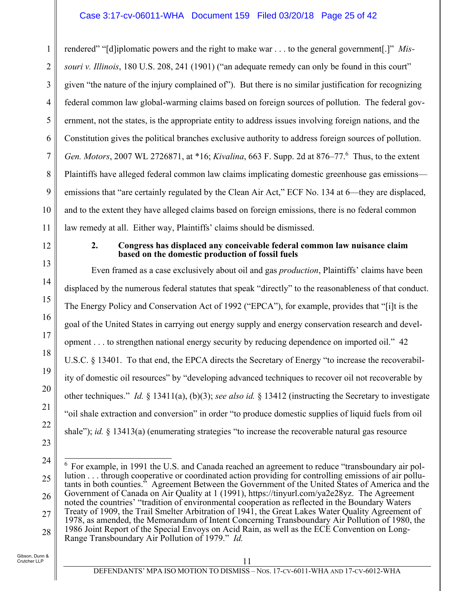#### Case 3:17-cv-06011-WHA Document 159 Filed 03/20/18 Page 25 of 42

1 2 3 4 5 6 7 8 9 10 11 rendered" "[d]iplomatic powers and the right to make war . . . to the general government[.]" *Missouri v. Illinois*, 180 U.S. 208, 241 (1901) ("an adequate remedy can only be found in this court" given "the nature of the injury complained of"). But there is no similar justification for recognizing federal common law global-warming claims based on foreign sources of pollution. The federal government, not the states, is the appropriate entity to address issues involving foreign nations, and the Constitution gives the political branches exclusive authority to address foreign sources of pollution. *Gen. Motors*, 2007 WL 2726871, at \*16; *Kivalina*, 663 F. Supp. 2d at 876–77.6 Thus, to the extent Plaintiffs have alleged federal common law claims implicating domestic greenhouse gas emissions emissions that "are certainly regulated by the Clean Air Act," ECF No. 134 at 6—they are displaced, and to the extent they have alleged claims based on foreign emissions, there is no federal common law remedy at all. Either way, Plaintiffs' claims should be dismissed.

12

13

14

15

16

17

18

19

20

21

22

23

#### **2. Congress has displaced any conceivable federal common law nuisance claim based on the domestic production of fossil fuels**

Even framed as a case exclusively about oil and gas *production*, Plaintiffs' claims have been displaced by the numerous federal statutes that speak "directly" to the reasonableness of that conduct. The Energy Policy and Conservation Act of 1992 ("EPCA"), for example, provides that "[i]t is the goal of the United States in carrying out energy supply and energy conservation research and development . . . to strengthen national energy security by reducing dependence on imported oil." 42 U.S.C. § 13401. To that end, the EPCA directs the Secretary of Energy "to increase the recoverability of domestic oil resources" by "developing advanced techniques to recover oil not recoverable by other techniques." *Id.* § 13411(a), (b)(3); *see also id.* § 13412 (instructing the Secretary to investigate "oil shale extraction and conversion" in order "to produce domestic supplies of liquid fuels from oil shale"); *id.* § 13413(a) (enumerating strategies "to increase the recoverable natural gas resource

<sup>24</sup> 25 26 27 28  $\overline{a}$ <sup>6</sup> For example, in 1991 the U.S. and Canada reached an agreement to reduce "transboundary air pollution . . . through cooperative or coordinated action providing for controlling emissions of air pollutants in both counties." Agreement Between the Government of the United States of America and the Government of Canada on Air Quality at 1 (1991), https://tinyurl.com/ya2e28yz. The Agreement noted the countries' "tradition of environmental cooperation as reflected in the Boundary Waters Treaty of 1909, the Trail Smelter Arbitration of 1941, the Great Lakes Water Quality Agreement of 1978, as amended, the Memorandum of Intent Concerning Transboundary Air Pollution of 1980, the 1986 Joint Report of the Special Envoys on Acid Rain, as well as the ECE Convention on Long-Range Transboundary Air Pollution of 1979." *Id.*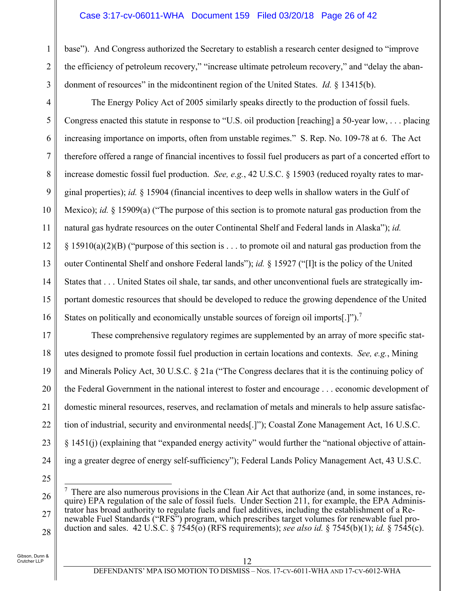#### Case 3:17-cv-06011-WHA Document 159 Filed 03/20/18 Page 26 of 42

base"). And Congress authorized the Secretary to establish a research center designed to "improve the efficiency of petroleum recovery," "increase ultimate petroleum recovery," and "delay the abandonment of resources" in the midcontinent region of the United States. *Id.* § 13415(b).

The Energy Policy Act of 2005 similarly speaks directly to the production of fossil fuels. Congress enacted this statute in response to "U.S. oil production [reaching] a 50-year low, . . . placing increasing importance on imports, often from unstable regimes." S. Rep. No. 109-78 at 6. The Act therefore offered a range of financial incentives to fossil fuel producers as part of a concerted effort to increase domestic fossil fuel production. *See, e.g.*, 42 U.S.C. § 15903 (reduced royalty rates to marginal properties); *id.* § 15904 (financial incentives to deep wells in shallow waters in the Gulf of Mexico); *id.* § 15909(a) ("The purpose of this section is to promote natural gas production from the natural gas hydrate resources on the outer Continental Shelf and Federal lands in Alaska"); *id.*  $\S 15910(a)(2)(B)$  ("purpose of this section is . . . to promote oil and natural gas production from the outer Continental Shelf and onshore Federal lands"); *id.* § 15927 ("[I]t is the policy of the United States that . . . United States oil shale, tar sands, and other unconventional fuels are strategically important domestic resources that should be developed to reduce the growing dependence of the United States on politically and economically unstable sources of foreign oil imports[.]").7

17 18 19 20 21 22 23 24 These comprehensive regulatory regimes are supplemented by an array of more specific statutes designed to promote fossil fuel production in certain locations and contexts. *See, e.g.*, Mining and Minerals Policy Act, 30 U.S.C. § 21a ("The Congress declares that it is the continuing policy of the Federal Government in the national interest to foster and encourage . . . economic development of domestic mineral resources, reserves, and reclamation of metals and minerals to help assure satisfaction of industrial, security and environmental needs[.]"); Coastal Zone Management Act, 16 U.S.C. § 1451(j) (explaining that "expanded energy activity" would further the "national objective of attaining a greater degree of energy self-sufficiency"); Federal Lands Policy Management Act, 43 U.S.C.

25

1

2

3

4

5

6

7

8

9

10

11

12

13

14

15

16

<sup>26</sup> 27 28  $\overline{a}$  $<sup>7</sup>$  There are also numerous provisions in the Clean Air Act that authorize (and, in some instances, re-</sup> quire) EPA regulation of the sale of fossil fuels. Under Section 211, for example, the EPA Administrator has broad authority to regulate fuels and fuel additives, including the establishment of a Renewable Fuel Standards ("RFS") program, which prescribes target volumes for renewable fuel production and sales. 42 U.S.C. § 7545(o) (RFS requirements); *see also id.* § 7545(b)(1); *id.* § 7545(c).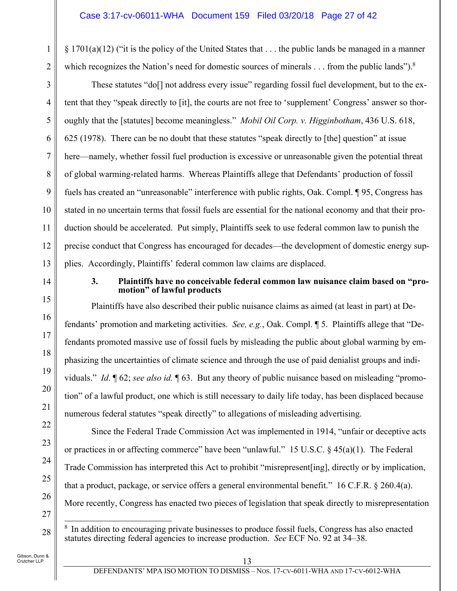§ 1701(a)(12) ("it is the policy of the United States that . . . the public lands be managed in a manner which recognizes the Nation's need for domestic sources of minerals  $\dots$  from the public lands").<sup>8</sup>

These statutes "do[] not address every issue" regarding fossil fuel development, but to the extent that they "speak directly to [it], the courts are not free to 'supplement' Congress' answer so thoroughly that the [statutes] become meaningless." *Mobil Oil Corp. v. Higginbotham*, 436 U.S. 618, 625 (1978). There can be no doubt that these statutes "speak directly to [the] question" at issue here—namely, whether fossil fuel production is excessive or unreasonable given the potential threat of global warming-related harms. Whereas Plaintiffs allege that Defendants' production of fossil fuels has created an "unreasonable" interference with public rights, Oak. Compl. ¶ 95, Congress has stated in no uncertain terms that fossil fuels are essential for the national economy and that their production should be accelerated. Put simply, Plaintiffs seek to use federal common law to punish the precise conduct that Congress has encouraged for decades—the development of domestic energy supplies. Accordingly, Plaintiffs' federal common law claims are displaced.

14

1

2

3

4

5

6

7

8

9

10

11

12

13

15

16

17

18

19

20

21

22

23

24

25

26

27

28

#### **3. Plaintiffs have no conceivable federal common law nuisance claim based on "promotion" of lawful products**

Plaintiffs have also described their public nuisance claims as aimed (at least in part) at Defendants' promotion and marketing activities. *See, e.g.*, Oak. Compl. ¶ 5. Plaintiffs allege that "Defendants promoted massive use of fossil fuels by misleading the public about global warming by emphasizing the uncertainties of climate science and through the use of paid denialist groups and individuals." *Id*. ¶ 62; *see also id.* ¶ 63. But any theory of public nuisance based on misleading "promotion" of a lawful product, one which is still necessary to daily life today, has been displaced because numerous federal statutes "speak directly" to allegations of misleading advertising.

Since the Federal Trade Commission Act was implemented in 1914, "unfair or deceptive acts or practices in or affecting commerce" have been "unlawful." 15 U.S.C. § 45(a)(1). The Federal Trade Commission has interpreted this Act to prohibit "misrepresent[ing], directly or by implication, that a product, package, or service offers a general environmental benefit." 16 C.F.R. § 260.4(a). More recently, Congress has enacted two pieces of legislation that speak directly to misrepresentation

 $\overline{a}$ <sup>8</sup> In addition to encouraging private businesses to produce fossil fuels, Congress has also enacted statutes directing federal agencies to increase production. *See* ECF No. 92 at 34–38.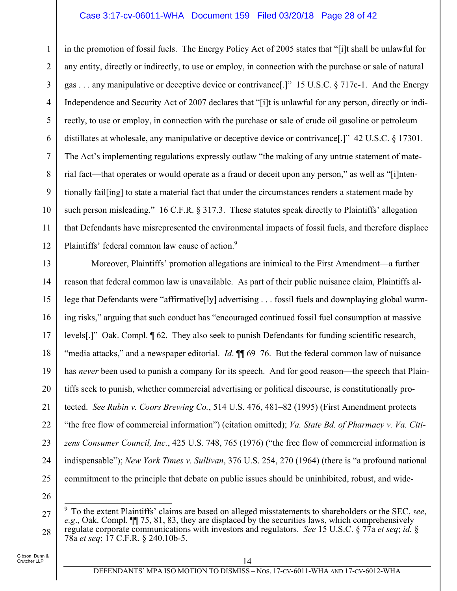#### Case 3:17-cv-06011-WHA Document 159 Filed 03/20/18 Page 28 of 42

1 2 3 4 5 6 7 8 9 10 11 12 in the promotion of fossil fuels. The Energy Policy Act of 2005 states that "[i]t shall be unlawful for any entity, directly or indirectly, to use or employ, in connection with the purchase or sale of natural gas . . . any manipulative or deceptive device or contrivance[.]" 15 U.S.C. § 717c-1. And the Energy Independence and Security Act of 2007 declares that "[i]t is unlawful for any person, directly or indirectly, to use or employ, in connection with the purchase or sale of crude oil gasoline or petroleum distillates at wholesale, any manipulative or deceptive device or contrivance[.]" 42 U.S.C. § 17301. The Act's implementing regulations expressly outlaw "the making of any untrue statement of material fact—that operates or would operate as a fraud or deceit upon any person," as well as "[i]ntentionally fail[ing] to state a material fact that under the circumstances renders a statement made by such person misleading." 16 C.F.R. § 317.3. These statutes speak directly to Plaintiffs' allegation that Defendants have misrepresented the environmental impacts of fossil fuels, and therefore displace Plaintiffs' federal common law cause of action.<sup>9</sup>

13 14 15 16 17 18 19 20 21 22 23 24 25 Moreover, Plaintiffs' promotion allegations are inimical to the First Amendment—a further reason that federal common law is unavailable. As part of their public nuisance claim, Plaintiffs allege that Defendants were "affirmative[ly] advertising . . . fossil fuels and downplaying global warming risks," arguing that such conduct has "encouraged continued fossil fuel consumption at massive levels[.]" Oak. Compl. ¶ 62. They also seek to punish Defendants for funding scientific research, "media attacks," and a newspaper editorial. *Id*. ¶¶ 69–76. But the federal common law of nuisance has *never* been used to punish a company for its speech. And for good reason—the speech that Plaintiffs seek to punish, whether commercial advertising or political discourse, is constitutionally protected. *See Rubin v. Coors Brewing Co.*, 514 U.S. 476, 481–82 (1995) (First Amendment protects "the free flow of commercial information") (citation omitted); *Va. State Bd. of Pharmacy v. Va. Citizens Consumer Council, Inc.*, 425 U.S. 748, 765 (1976) ("the free flow of commercial information is indispensable"); *New York Times v. Sullivan*, 376 U.S. 254, 270 (1964) (there is "a profound national commitment to the principle that debate on public issues should be uninhibited, robust, and wide-

26

 $\overline{a}$ 

27

28

<sup>9</sup> To the extent Plaintiffs' claims are based on alleged misstatements to shareholders or the SEC, *see*, *e.g*., Oak. Compl. ¶¶ 75, 81, 83, they are displaced by the securities laws, which comprehensively regulate corporate communications with investors and regulators. *See* 15 U.S.C. § 77a *et seq*; *id.* § 78a *et seq*; 17 C.F.R. § 240.10b-5.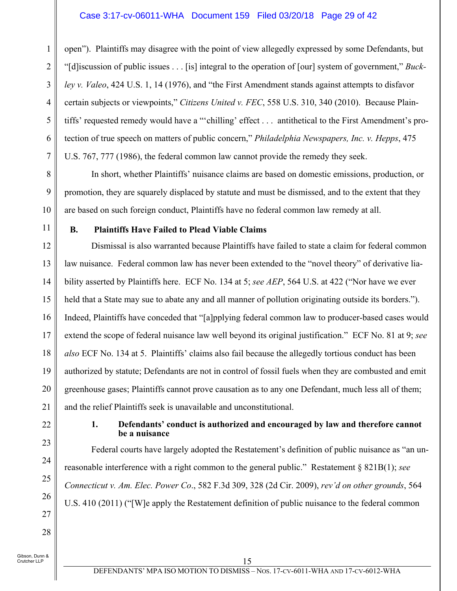#### Case 3:17-cv-06011-WHA Document 159 Filed 03/20/18 Page 29 of 42

open"). Plaintiffs may disagree with the point of view allegedly expressed by some Defendants, but "[d]iscussion of public issues . . . [is] integral to the operation of [our] system of government," *Buckley v. Valeo*, 424 U.S. 1, 14 (1976), and "the First Amendment stands against attempts to disfavor certain subjects or viewpoints," *Citizens United v. FEC*, 558 U.S. 310, 340 (2010). Because Plaintiffs' requested remedy would have a "'chilling' effect . . . antithetical to the First Amendment's protection of true speech on matters of public concern," *Philadelphia Newspapers, Inc. v. Hepps*, 475 U.S. 767, 777 (1986), the federal common law cannot provide the remedy they seek.

In short, whether Plaintiffs' nuisance claims are based on domestic emissions, production, or promotion, they are squarely displaced by statute and must be dismissed, and to the extent that they are based on such foreign conduct, Plaintiffs have no federal common law remedy at all.

11

10

1

2

3

4

5

6

7

8

9

#### **B. Plaintiffs Have Failed to Plead Viable Claims**

12 13 14 15 16 17 18 19 20 21 Dismissal is also warranted because Plaintiffs have failed to state a claim for federal common law nuisance. Federal common law has never been extended to the "novel theory" of derivative liability asserted by Plaintiffs here. ECF No. 134 at 5; *see AEP*, 564 U.S. at 422 ("Nor have we ever held that a State may sue to abate any and all manner of pollution originating outside its borders."). Indeed, Plaintiffs have conceded that "[a]pplying federal common law to producer-based cases would extend the scope of federal nuisance law well beyond its original justification." ECF No. 81 at 9; *see also* ECF No. 134 at 5. Plaintiffs' claims also fail because the allegedly tortious conduct has been authorized by statute; Defendants are not in control of fossil fuels when they are combusted and emit greenhouse gases; Plaintiffs cannot prove causation as to any one Defendant, much less all of them; and the relief Plaintiffs seek is unavailable and unconstitutional.

22

23

24

25

26

27

28

#### **1. Defendants' conduct is authorized and encouraged by law and therefore cannot be a nuisance**

Federal courts have largely adopted the Restatement's definition of public nuisance as "an unreasonable interference with a right common to the general public." Restatement § 821B(1); *see Connecticut v. Am. Elec. Power Co*., 582 F.3d 309, 328 (2d Cir. 2009), *rev'd on other grounds*, 564 U.S. 410 (2011) ("[W]e apply the Restatement definition of public nuisance to the federal common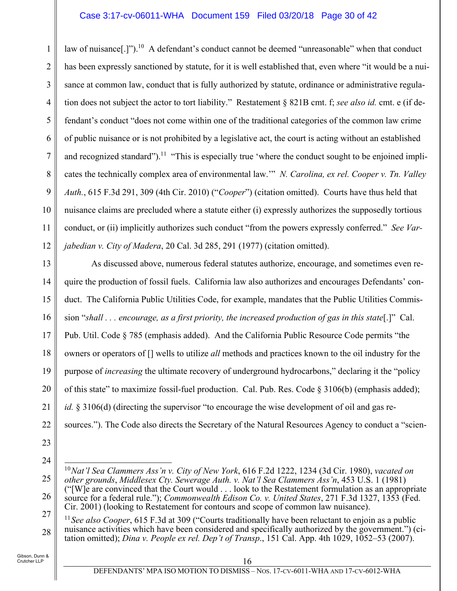#### Case 3:17-cv-06011-WHA Document 159 Filed 03/20/18 Page 30 of 42

1 2 3 4 5 6 7 8 9 10 11 12 law of nuisance[.]").<sup>10</sup> A defendant's conduct cannot be deemed "unreasonable" when that conduct has been expressly sanctioned by statute, for it is well established that, even where "it would be a nuisance at common law, conduct that is fully authorized by statute, ordinance or administrative regulation does not subject the actor to tort liability." Restatement § 821B cmt. f; *see also id.* cmt. e (if defendant's conduct "does not come within one of the traditional categories of the common law crime of public nuisance or is not prohibited by a legislative act, the court is acting without an established and recognized standard").<sup>11</sup> "This is especially true 'where the conduct sought to be enjoined implicates the technically complex area of environmental law.'" *N. Carolina, ex rel. Cooper v. Tn. Valley Auth.*, 615 F.3d 291, 309 (4th Cir. 2010) ("*Cooper*") (citation omitted). Courts have thus held that nuisance claims are precluded where a statute either (i) expressly authorizes the supposedly tortious conduct, or (ii) implicitly authorizes such conduct "from the powers expressly conferred." *See Varjabedian v. City of Madera*, 20 Cal. 3d 285, 291 (1977) (citation omitted).

13 14 15 16 17 18 19 20 21 22 As discussed above, numerous federal statutes authorize, encourage, and sometimes even require the production of fossil fuels. California law also authorizes and encourages Defendants' conduct. The California Public Utilities Code, for example, mandates that the Public Utilities Commission "*shall . . . encourage, as a first priority, the increased production of gas in this state*[.]" Cal. Pub. Util. Code § 785 (emphasis added). And the California Public Resource Code permits "the owners or operators of [] wells to utilize *all* methods and practices known to the oil industry for the purpose of *increasing* the ultimate recovery of underground hydrocarbons," declaring it the "policy of this state" to maximize fossil-fuel production. Cal. Pub. Res. Code § 3106(b) (emphasis added); *id.* § 3106(d) (directing the supervisor "to encourage the wise development of oil and gas resources."). The Code also directs the Secretary of the Natural Resources Agency to conduct a "scien-

- 23
- 24

 $\overline{a}$ 

28 <sup>11</sup> See also Cooper, 615 F.3d at 309 ("Courts traditionally have been reluctant to enjoin as a public nuisance activities which have been considered and specifically authorized by the government.") (citation omitted); *Dina v. People ex rel. Dep't of Transp*., 151 Cal. App. 4th 1029, 1052–53 (2007).

<sup>25</sup> 26 27 <sup>10</sup>*Nat'l Sea Clammers Ass'n v. City of New York*, 616 F.2d 1222, 1234 (3d Cir. 1980), *vacated on other grounds*, *Middlesex Cty. Sewerage Auth. v. Nat'l Sea Clammers Ass'n*, 453 U.S. 1 (1981) ("[W]e are convinced that the Court would . . . look to the Restatement formulation as an appropriate source for a federal rule."); *Commonwealth Edison Co. v. United States*, 271 F.3d 1327, 1353 (Fed. Cir. 2001) (looking to Restatement for contours and scope of common law nuisance).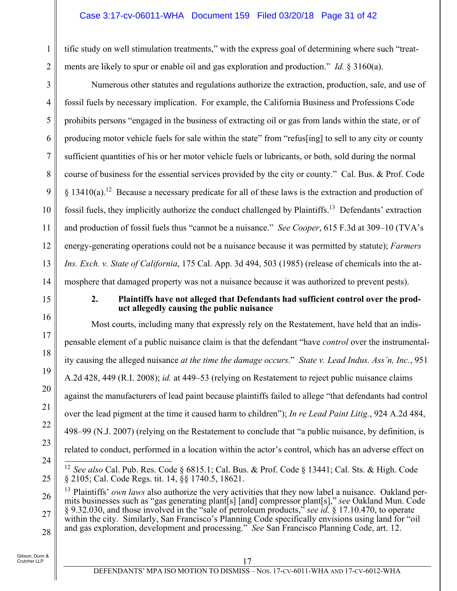#### Case 3:17-cv-06011-WHA Document 159 Filed 03/20/18 Page 31 of 42

tific study on well stimulation treatments," with the express goal of determining where such "treatments are likely to spur or enable oil and gas exploration and production." *Id.* § 3160(a).

Numerous other statutes and regulations authorize the extraction, production, sale, and use of fossil fuels by necessary implication. For example, the California Business and Professions Code prohibits persons "engaged in the business of extracting oil or gas from lands within the state, or of producing motor vehicle fuels for sale within the state" from "refus[ing] to sell to any city or county sufficient quantities of his or her motor vehicle fuels or lubricants, or both, sold during the normal course of business for the essential services provided by the city or county." Cal. Bus. & Prof. Code § 13410(a).12 Because a necessary predicate for all of these laws is the extraction and production of fossil fuels, they implicitly authorize the conduct challenged by Plaintiffs.13 Defendants' extraction and production of fossil fuels thus "cannot be a nuisance." *See Cooper*, 615 F.3d at 309–10 (TVA's energy-generating operations could not be a nuisance because it was permitted by statute); *Farmers Ins. Exch. v. State of California*, 175 Cal. App. 3d 494, 503 (1985) (release of chemicals into the atmosphere that damaged property was not a nuisance because it was authorized to prevent pests).

15

1

2

3

4

5

6

7

8

9

10

11

12

13

14

16

17

18

19

20

21

22

23

24

25

#### **2. Plaintiffs have not alleged that Defendants had sufficient control over the product allegedly causing the public nuisance**

Most courts, including many that expressly rely on the Restatement, have held that an indispensable element of a public nuisance claim is that the defendant "have *control* over the instrumentality causing the alleged nuisance *at the time the damage occurs*." *State v. Lead Indus. Ass'n, Inc.*, 951 A.2d 428, 449 (R.I. 2008); *id.* at 449–53 (relying on Restatement to reject public nuisance claims against the manufacturers of lead paint because plaintiffs failed to allege "that defendants had control over the lead pigment at the time it caused harm to children"); *In re Lead Paint Litig.*, 924 A.2d 484, 498–99 (N.J. 2007) (relying on the Restatement to conclude that "a public nuisance, by definition, is related to conduct, performed in a location within the actor's control, which has an adverse effect on  $\overline{1}$ 

<sup>12</sup> *See also* Cal. Pub. Res. Code § 6815.1; Cal. Bus. & Prof. Code § 13441; Cal. Sts. & High. Code § 2105; Cal. Code Regs. tit. 14, §§ 1740.5, 18621.

<sup>26</sup> 27 28 13 Plaintiffs' *own laws* also authorize the very activities that they now label a nuisance. Oakland permits businesses such as "gas generating plant[s] [and] compressor plant[s]," *see* Oakland Mun. Code § 9.32.030, and those involved in the "sale of petroleum products," *see id.* § 17.10.470, to operate within the city. Similarly, San Francisco's Planning Code specifically envisions using land for "oil and gas exploration, development and processing." *See* San Francisco Planning Code, art. 12.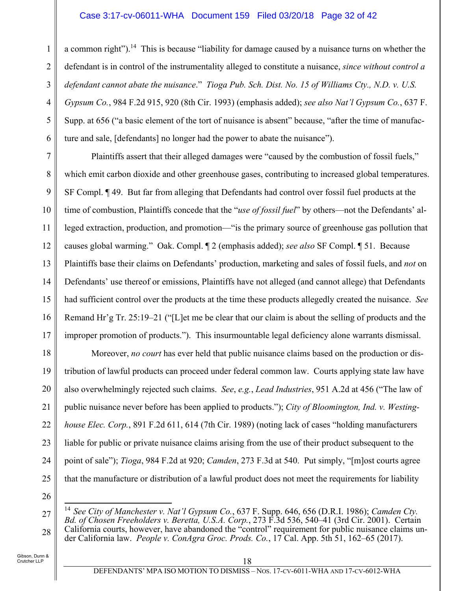#### Case 3:17-cv-06011-WHA Document 159 Filed 03/20/18 Page 32 of 42

a common right").<sup>14</sup> This is because "liability for damage caused by a nuisance turns on whether the defendant is in control of the instrumentality alleged to constitute a nuisance, *since without control a defendant cannot abate the nuisance*." *Tioga Pub. Sch. Dist. No. 15 of Williams Cty., N.D. v. U.S. Gypsum Co.*, 984 F.2d 915, 920 (8th Cir. 1993) (emphasis added); *see also Nat'l Gypsum Co.*, 637 F. Supp. at 656 ("a basic element of the tort of nuisance is absent" because, "after the time of manufacture and sale, [defendants] no longer had the power to abate the nuisance").

7 8 9 10 11 12 13 14 15 16 17 Plaintiffs assert that their alleged damages were "caused by the combustion of fossil fuels," which emit carbon dioxide and other greenhouse gases, contributing to increased global temperatures. SF Compl. ¶ 49. But far from alleging that Defendants had control over fossil fuel products at the time of combustion, Plaintiffs concede that the "*use of fossil fuel*" by others—not the Defendants' alleged extraction, production, and promotion—"is the primary source of greenhouse gas pollution that causes global warming." Oak. Compl. ¶ 2 (emphasis added); *see also* SF Compl. ¶ 51. Because Plaintiffs base their claims on Defendants' production, marketing and sales of fossil fuels, and *not* on Defendants' use thereof or emissions, Plaintiffs have not alleged (and cannot allege) that Defendants had sufficient control over the products at the time these products allegedly created the nuisance. *See* Remand Hr'g Tr. 25:19–21 ("[L]et me be clear that our claim is about the selling of products and the improper promotion of products."). This insurmountable legal deficiency alone warrants dismissal.

Moreover, *no court* has ever held that public nuisance claims based on the production or distribution of lawful products can proceed under federal common law. Courts applying state law have also overwhelmingly rejected such claims. *See*, *e.g.*, *Lead Industries*, 951 A.2d at 456 ("The law of public nuisance never before has been applied to products."); *City of Bloomington, Ind. v. Westinghouse Elec. Corp.*, 891 F.2d 611, 614 (7th Cir. 1989) (noting lack of cases "holding manufacturers liable for public or private nuisance claims arising from the use of their product subsequent to the point of sale"); *Tioga*, 984 F.2d at 920; *Camden*, 273 F.3d at 540. Put simply, "[m]ost courts agree that the manufacture or distribution of a lawful product does not meet the requirements for liability

26

 $\overline{a}$ 

27

28

18

19

20

21

22

23

24

25

1

2

3

4

5

<sup>14</sup> *See City of Manchester v. Nat'l Gypsum Co.*, 637 F. Supp. 646, 656 (D.R.I. 1986); *Camden Cty. Bd. of Chosen Freeholders v. Beretta, U.S.A. Corp.*, 273 F.3d 536, 540–41 (3rd Cir. 2001). Certain California courts, however, have abandoned the "control" requirement for public nuisance claims under California law. *People v. ConAgra Groc. Prods. Co.*, 17 Cal. App. 5th 51, 162–65 (2017).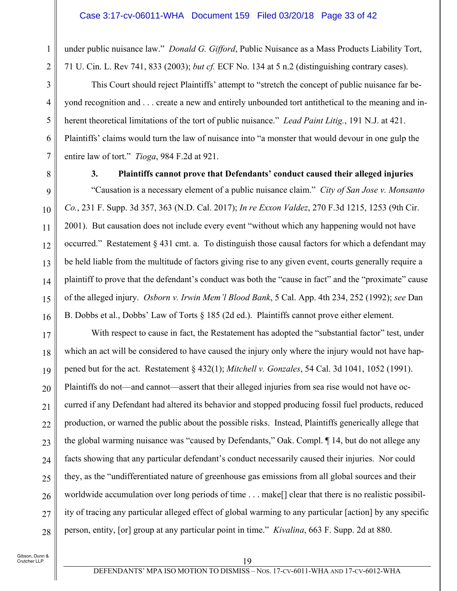under public nuisance law." *Donald G. Gifford*, Public Nuisance as a Mass Products Liability Tort, 71 U. Cin. L. Rev 741, 833 (2003); *but cf.* ECF No. 134 at 5 n.2 (distinguishing contrary cases).

This Court should reject Plaintiffs' attempt to "stretch the concept of public nuisance far beyond recognition and . . . create a new and entirely unbounded tort antithetical to the meaning and inherent theoretical limitations of the tort of public nuisance." *Lead Paint Litig.*, 191 N.J. at 421. Plaintiffs' claims would turn the law of nuisance into "a monster that would devour in one gulp the entire law of tort." *Tioga*, 984 F.2d at 921.

1

2

3

4

5

6

7

8

9

10

11

12

13

#### **3. Plaintiffs cannot prove that Defendants' conduct caused their alleged injuries**

"Causation is a necessary element of a public nuisance claim." *City of San Jose v. Monsanto Co.*, 231 F. Supp. 3d 357, 363 (N.D. Cal. 2017); *In re Exxon Valdez*, 270 F.3d 1215, 1253 (9th Cir. 2001). But causation does not include every event "without which any happening would not have occurred." Restatement § 431 cmt. a. To distinguish those causal factors for which a defendant may be held liable from the multitude of factors giving rise to any given event, courts generally require a plaintiff to prove that the defendant's conduct was both the "cause in fact" and the "proximate" cause of the alleged injury. *Osborn v. Irwin Mem'l Blood Bank*, 5 Cal. App. 4th 234, 252 (1992); *see* Dan B. Dobbs et al., Dobbs' Law of Torts § 185 (2d ed.). Plaintiffs cannot prove either element.

With respect to cause in fact, the Restatement has adopted the "substantial factor" test, under which an act will be considered to have caused the injury only where the injury would not have happened but for the act. Restatement § 432(1); *Mitchell v. Gonzales*, 54 Cal. 3d 1041, 1052 (1991). Plaintiffs do not—and cannot—assert that their alleged injuries from sea rise would not have occurred if any Defendant had altered its behavior and stopped producing fossil fuel products, reduced production, or warned the public about the possible risks. Instead, Plaintiffs generically allege that the global warming nuisance was "caused by Defendants," Oak. Compl. ¶ 14, but do not allege any facts showing that any particular defendant's conduct necessarily caused their injuries. Nor could they, as the "undifferentiated nature of greenhouse gas emissions from all global sources and their worldwide accumulation over long periods of time . . . make[] clear that there is no realistic possibility of tracing any particular alleged effect of global warming to any particular [action] by any specific person, entity, [or] group at any particular point in time." *Kivalina*, 663 F. Supp. 2d at 880.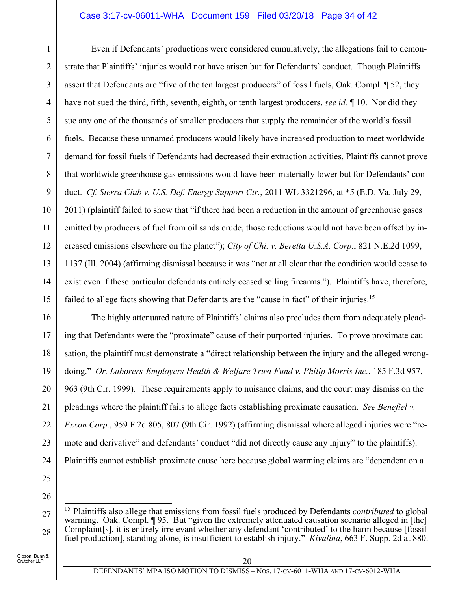#### Case 3:17-cv-06011-WHA Document 159 Filed 03/20/18 Page 34 of 42

1 2 3 4 5 6 7 8 9 10 11 12 13 14 15 Even if Defendants' productions were considered cumulatively, the allegations fail to demonstrate that Plaintiffs' injuries would not have arisen but for Defendants' conduct. Though Plaintiffs assert that Defendants are "five of the ten largest producers" of fossil fuels, Oak. Compl. ¶ 52, they have not sued the third, fifth, seventh, eighth, or tenth largest producers, *see id.* ¶ 10. Nor did they sue any one of the thousands of smaller producers that supply the remainder of the world's fossil fuels. Because these unnamed producers would likely have increased production to meet worldwide demand for fossil fuels if Defendants had decreased their extraction activities, Plaintiffs cannot prove that worldwide greenhouse gas emissions would have been materially lower but for Defendants' conduct. *Cf. Sierra Club v. U.S. Def. Energy Support Ctr.*, 2011 WL 3321296, at \*5 (E.D. Va. July 29, 2011) (plaintiff failed to show that "if there had been a reduction in the amount of greenhouse gases emitted by producers of fuel from oil sands crude, those reductions would not have been offset by increased emissions elsewhere on the planet"); *City of Chi. v. Beretta U.S.A. Corp.*, 821 N.E.2d 1099, 1137 (Ill. 2004) (affirming dismissal because it was "not at all clear that the condition would cease to exist even if these particular defendants entirely ceased selling firearms."). Plaintiffs have, therefore, failed to allege facts showing that Defendants are the "cause in fact" of their injuries.<sup>15</sup>

16 17 18 19 20 21 22 23 24 The highly attenuated nature of Plaintiffs' claims also precludes them from adequately pleading that Defendants were the "proximate" cause of their purported injuries. To prove proximate causation, the plaintiff must demonstrate a "direct relationship between the injury and the alleged wrongdoing." *Or. Laborers-Employers Health & Welfare Trust Fund v. Philip Morris Inc.*, 185 F.3d 957, 963 (9th Cir. 1999)*.* These requirements apply to nuisance claims, and the court may dismiss on the pleadings where the plaintiff fails to allege facts establishing proximate causation. *See Benefiel v. Exxon Corp.*, 959 F.2d 805, 807 (9th Cir. 1992) (affirming dismissal where alleged injuries were "remote and derivative" and defendants' conduct "did not directly cause any injury" to the plaintiffs). Plaintiffs cannot establish proximate cause here because global warming claims are "dependent on a

25 26

 $\overline{a}$ 

<sup>27</sup> 28 15 Plaintiffs also allege that emissions from fossil fuels produced by Defendants *contributed* to global warming. Oak. Compl. ¶ 95. But "given the extremely attenuated causation scenario alleged in [the] Complaint[s], it is entirely irrelevant whether any defendant 'contributed' to the harm because [fossil fuel production], standing alone, is insufficient to establish injury." *Kivalina*, 663 F. Supp. 2d at 880.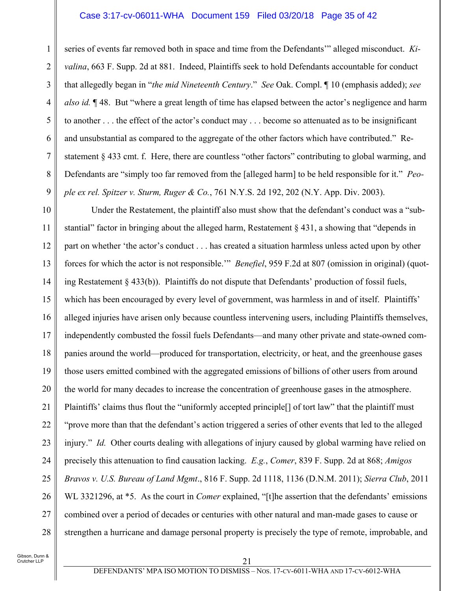#### Case 3:17-cv-06011-WHA Document 159 Filed 03/20/18 Page 35 of 42

series of events far removed both in space and time from the Defendants'" alleged misconduct. *Kivalina*, 663 F. Supp. 2d at 881. Indeed, Plaintiffs seek to hold Defendants accountable for conduct that allegedly began in "*the mid Nineteenth Century*." *See* Oak. Compl. ¶ 10 (emphasis added); *see also id.* ¶ 48. But "where a great length of time has elapsed between the actor's negligence and harm to another . . . the effect of the actor's conduct may . . . become so attenuated as to be insignificant and unsubstantial as compared to the aggregate of the other factors which have contributed." Restatement § 433 cmt. f. Here, there are countless "other factors" contributing to global warming, and Defendants are "simply too far removed from the [alleged harm] to be held responsible for it." *People ex rel. Spitzer v. Sturm, Ruger & Co.*, 761 N.Y.S. 2d 192, 202 (N.Y. App. Div. 2003).

10 11 12 13 14 15 16 17 18 19 20 21 22 23 24 25 26 27 28 Under the Restatement, the plaintiff also must show that the defendant's conduct was a "substantial" factor in bringing about the alleged harm, Restatement § 431, a showing that "depends in part on whether 'the actor's conduct . . . has created a situation harmless unless acted upon by other forces for which the actor is not responsible.'" *Benefiel*, 959 F.2d at 807 (omission in original) (quoting Restatement § 433(b)). Plaintiffs do not dispute that Defendants' production of fossil fuels, which has been encouraged by every level of government, was harmless in and of itself. Plaintiffs' alleged injuries have arisen only because countless intervening users, including Plaintiffs themselves, independently combusted the fossil fuels Defendants—and many other private and state-owned companies around the world—produced for transportation, electricity, or heat, and the greenhouse gases those users emitted combined with the aggregated emissions of billions of other users from around the world for many decades to increase the concentration of greenhouse gases in the atmosphere. Plaintiffs' claims thus flout the "uniformly accepted principle[] of tort law" that the plaintiff must "prove more than that the defendant's action triggered a series of other events that led to the alleged injury." *Id.* Other courts dealing with allegations of injury caused by global warming have relied on precisely this attenuation to find causation lacking. *E.g.*, *Comer*, 839 F. Supp. 2d at 868; *Amigos Bravos v. U.S. Bureau of Land Mgmt*., 816 F. Supp. 2d 1118, 1136 (D.N.M. 2011); *Sierra Club*, 2011 WL 3321296, at \*5. As the court in *Comer* explained, "[t]he assertion that the defendants' emissions combined over a period of decades or centuries with other natural and man-made gases to cause or strengthen a hurricane and damage personal property is precisely the type of remote, improbable, and

1

2

3

4

5

6

7

8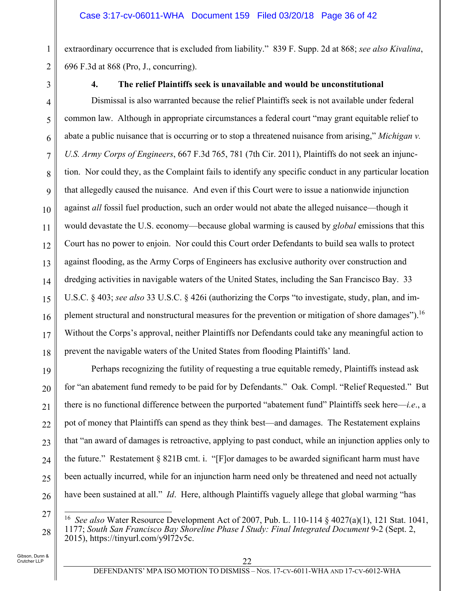extraordinary occurrence that is excluded from liability." 839 F. Supp. 2d at 868; *see also Kivalina*, 696 F.3d at 868 (Pro, J., concurring).

1

2

3

# **4. The relief Plaintiffs seek is unavailable and would be unconstitutional**

4 5 6 7 8 9 10 11 12 13 14 15 16 17 18 Dismissal is also warranted because the relief Plaintiffs seek is not available under federal common law. Although in appropriate circumstances a federal court "may grant equitable relief to abate a public nuisance that is occurring or to stop a threatened nuisance from arising," *Michigan v. U.S. Army Corps of Engineers*, 667 F.3d 765, 781 (7th Cir. 2011), Plaintiffs do not seek an injunction. Nor could they, as the Complaint fails to identify any specific conduct in any particular location that allegedly caused the nuisance. And even if this Court were to issue a nationwide injunction against *all* fossil fuel production, such an order would not abate the alleged nuisance—though it would devastate the U.S. economy—because global warming is caused by *global* emissions that this Court has no power to enjoin. Nor could this Court order Defendants to build sea walls to protect against flooding, as the Army Corps of Engineers has exclusive authority over construction and dredging activities in navigable waters of the United States, including the San Francisco Bay. 33 U.S.C. § 403; *see also* 33 U.S.C. § 426i (authorizing the Corps "to investigate, study, plan, and implement structural and nonstructural measures for the prevention or mitigation of shore damages").<sup>16</sup> Without the Corps's approval, neither Plaintiffs nor Defendants could take any meaningful action to prevent the navigable waters of the United States from flooding Plaintiffs' land.

19 20 21 22 23 24 25 26 Perhaps recognizing the futility of requesting a true equitable remedy, Plaintiffs instead ask for "an abatement fund remedy to be paid for by Defendants." Oak*.* Compl. "Relief Requested." But there is no functional difference between the purported "abatement fund" Plaintiffs seek here—*i.e*., a pot of money that Plaintiffs can spend as they think best—and damages. The Restatement explains that "an award of damages is retroactive, applying to past conduct, while an injunction applies only to the future." Restatement § 821B cmt. i. "[F]or damages to be awarded significant harm must have been actually incurred, while for an injunction harm need only be threatened and need not actually have been sustained at all." *Id*. Here, although Plaintiffs vaguely allege that global warming "has

27

28

 $\overline{a}$ 16 *See also* Water Resource Development Act of 2007, Pub. L. 110-114 § 4027(a)(1), 121 Stat. 1041, 1177; *South San Francisco Bay Shoreline Phase I Study: Final Integrated Document* 9-2 (Sept. 2, 2015), https://tinyurl.com/y9172v5c.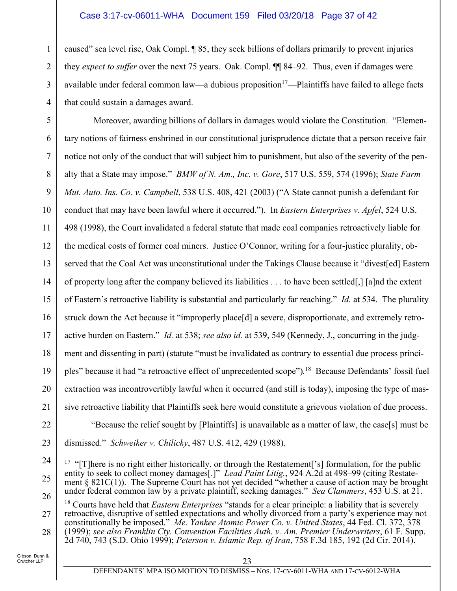#### Case 3:17-cv-06011-WHA Document 159 Filed 03/20/18 Page 37 of 42

caused" sea level rise, Oak Compl. ¶ 85, they seek billions of dollars primarily to prevent injuries they *expect to suffer* over the next 75 years. Oak. Compl. ¶¶ 84–92. Thus, even if damages were available under federal common law—a dubious proposition<sup>17</sup>—Plaintiffs have failed to allege facts that could sustain a damages award.

5 6 7 8 9 10 11 12 13 14 15 16 17 18 19 20 21 22 Moreover, awarding billions of dollars in damages would violate the Constitution. "Elementary notions of fairness enshrined in our constitutional jurisprudence dictate that a person receive fair notice not only of the conduct that will subject him to punishment, but also of the severity of the penalty that a State may impose." *BMW of N. Am., Inc. v. Gore*, 517 U.S. 559, 574 (1996); *State Farm Mut. Auto. Ins. Co. v. Campbell*, 538 U.S. 408, 421 (2003) ("A State cannot punish a defendant for conduct that may have been lawful where it occurred."). In *Eastern Enterprises v. Apfel*, 524 U.S. 498 (1998), the Court invalidated a federal statute that made coal companies retroactively liable for the medical costs of former coal miners. Justice O'Connor, writing for a four-justice plurality, observed that the Coal Act was unconstitutional under the Takings Clause because it "divest[ed] Eastern of property long after the company believed its liabilities . . . to have been settled[,] [a]nd the extent of Eastern's retroactive liability is substantial and particularly far reaching." *Id.* at 534. The plurality struck down the Act because it "improperly place[d] a severe, disproportionate, and extremely retroactive burden on Eastern." *Id.* at 538; *see also id.* at 539, 549 (Kennedy, J., concurring in the judgment and dissenting in part) (statute "must be invalidated as contrary to essential due process principles" because it had "a retroactive effect of unprecedented scope")*.* 18 Because Defendants' fossil fuel extraction was incontrovertibly lawful when it occurred (and still is today), imposing the type of massive retroactive liability that Plaintiffs seek here would constitute a grievous violation of due process. "Because the relief sought by [Plaintiffs] is unavailable as a matter of law, the case[s] must be

23 dismissed." *Schweiker v. Chilicky*, 487 U.S. 412, 429 (1988).

27 28 18 Courts have held that *Eastern Enterprises* "stands for a clear principle: a liability that is severely retroactive, disruptive of settled expectations and wholly divorced from a party's experience may not constitutionally be imposed." *Me. Yankee Atomic Power Co. v. United States*, 44 Fed. Cl. 372, 378 (1999); *see also Franklin Cty. Convention Facilities Auth. v. Am. Premier Underwriters*, 61 F. Supp. 2d 740, 743 (S.D. Ohio 1999); *Peterson v. Islamic Rep. of Iran*, 758 F.3d 185, 192 (2d Cir. 2014).

1

2

3

<sup>24</sup> 25 26  $\overline{a}$ <sup>17</sup> "[T]here is no right either historically, or through the Restatement['s] formulation, for the public entity to seek to collect money damages[.]" *Lead Paint Litig.*, 924 A.2d at 498–99 (citing Restatement § 821C(1)). The Supreme Court has not yet decided "whether a cause of action may be brought under federal common law by a private plaintiff, seeking damages." *Sea Clammers*, 453 U.S. at 21.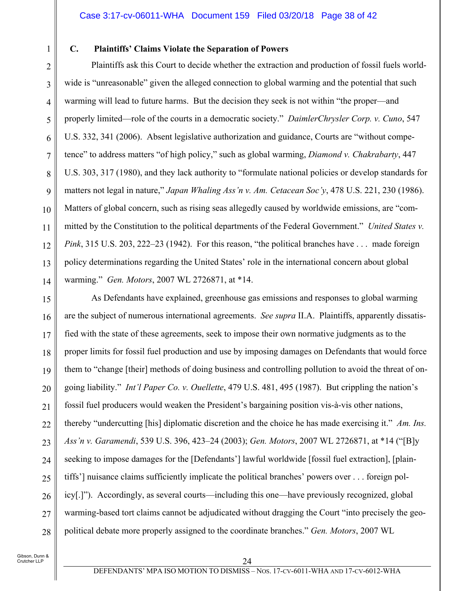1

2

3

4

5

6

7

8

9

10

11

12

13

14

### **C. Plaintiffs' Claims Violate the Separation of Powers**

Plaintiffs ask this Court to decide whether the extraction and production of fossil fuels worldwide is "unreasonable" given the alleged connection to global warming and the potential that such warming will lead to future harms. But the decision they seek is not within "the proper—and properly limited—role of the courts in a democratic society." *DaimlerChrysler Corp. v. Cuno*, 547 U.S. 332, 341 (2006). Absent legislative authorization and guidance, Courts are "without competence" to address matters "of high policy," such as global warming, *Diamond v. Chakrabarty*, 447 U.S. 303, 317 (1980), and they lack authority to "formulate national policies or develop standards for matters not legal in nature," *Japan Whaling Ass'n v. Am. Cetacean Soc'y*, 478 U.S. 221, 230 (1986). Matters of global concern, such as rising seas allegedly caused by worldwide emissions, are "committed by the Constitution to the political departments of the Federal Government." *United States v. Pink*, 315 U.S. 203, 222–23 (1942). For this reason, "the political branches have . . . made foreign policy determinations regarding the United States' role in the international concern about global warming." *Gen. Motors*, 2007 WL 2726871, at \*14.

15 16 17 18 19 20 21 22 23 24 25 26 27 28 As Defendants have explained, greenhouse gas emissions and responses to global warming are the subject of numerous international agreements. *See supra* II.A. Plaintiffs, apparently dissatisfied with the state of these agreements, seek to impose their own normative judgments as to the proper limits for fossil fuel production and use by imposing damages on Defendants that would force them to "change [their] methods of doing business and controlling pollution to avoid the threat of ongoing liability." *Int'l Paper Co. v. Ouellette*, 479 U.S. 481, 495 (1987). But crippling the nation's fossil fuel producers would weaken the President's bargaining position vis-à-vis other nations, thereby "undercutting [his] diplomatic discretion and the choice he has made exercising it." *Am. Ins. Ass'n v. Garamendi*, 539 U.S. 396, 423–24 (2003); *Gen. Motors*, 2007 WL 2726871, at \*14 ("[B]y seeking to impose damages for the [Defendants'] lawful worldwide [fossil fuel extraction], [plaintiffs'] nuisance claims sufficiently implicate the political branches' powers over . . . foreign policy[.]"). Accordingly, as several courts—including this one—have previously recognized, global warming-based tort claims cannot be adjudicated without dragging the Court "into precisely the geopolitical debate more properly assigned to the coordinate branches." *Gen. Motors*, 2007 WL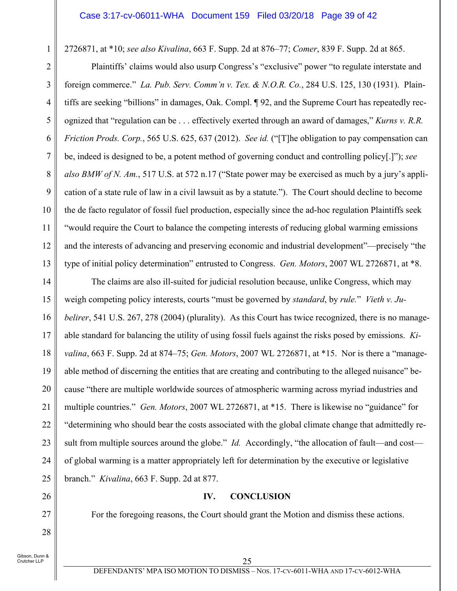#### Case 3:17-cv-06011-WHA Document 159 Filed 03/20/18 Page 39 of 42

2726871, at \*10; *see also Kivalina*, 663 F. Supp. 2d at 876–77; *Comer*, 839 F. Supp. 2d at 865.

Plaintiffs' claims would also usurp Congress's "exclusive" power "to regulate interstate and foreign commerce." *La. Pub. Serv. Comm'n v. Tex. & N.O.R. Co.*, 284 U.S. 125, 130 (1931). Plaintiffs are seeking "billions" in damages, Oak. Compl. ¶ 92, and the Supreme Court has repeatedly recognized that "regulation can be . . . effectively exerted through an award of damages," *Kurns v. R.R. Friction Prods. Corp.*, 565 U.S. 625, 637 (2012). *See id.* ("[T]he obligation to pay compensation can be, indeed is designed to be, a potent method of governing conduct and controlling policy[.]"); *see also BMW of N. Am.*, 517 U.S. at 572 n.17 ("State power may be exercised as much by a jury's application of a state rule of law in a civil lawsuit as by a statute."). The Court should decline to become the de facto regulator of fossil fuel production, especially since the ad-hoc regulation Plaintiffs seek "would require the Court to balance the competing interests of reducing global warming emissions and the interests of advancing and preserving economic and industrial development"—precisely "the type of initial policy determination" entrusted to Congress. *Gen. Motors*, 2007 WL 2726871, at \*8.

14 15 16 17 18 19 20 21 22 23 24 25 The claims are also ill-suited for judicial resolution because, unlike Congress, which may weigh competing policy interests, courts "must be governed by *standard*, by *rule.*" *Vieth v. Jubelirer*, 541 U.S. 267, 278 (2004) (plurality). As this Court has twice recognized, there is no manageable standard for balancing the utility of using fossil fuels against the risks posed by emissions. *Kivalina*, 663 F. Supp. 2d at 874–75; *Gen. Motors*, 2007 WL 2726871, at \*15. Nor is there a "manageable method of discerning the entities that are creating and contributing to the alleged nuisance" because "there are multiple worldwide sources of atmospheric warming across myriad industries and multiple countries." *Gen. Motors*, 2007 WL 2726871, at \*15. There is likewise no "guidance" for "determining who should bear the costs associated with the global climate change that admittedly result from multiple sources around the globe." *Id.* Accordingly, "the allocation of fault—and cost of global warming is a matter appropriately left for determination by the executive or legislative branch." *Kivalina*, 663 F. Supp. 2d at 877.

#### **IV. CONCLUSION**

For the foregoing reasons, the Court should grant the Motion and dismiss these actions.

Gibson, Dunn & .<br>Crutcher LLP

26

27

28

1

2

3

4

5

6

7

8

9

10

11

12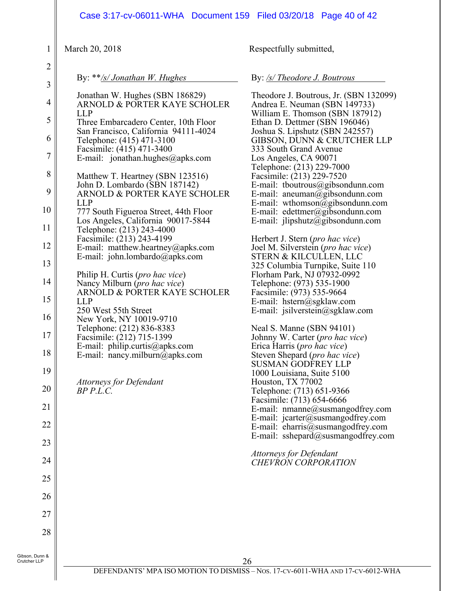|                                                                                                                                                                                                                    | Case 3:17-cv-06011-WHA  Document 159  Filed 03/20/18  Page 40 of 42                                                                                                                                                                                                                                                                                                                                                                                                                                                                                                                                                                                                                                                                                                                                                                                                                                                                                          |                                                                                                                                                                                                                                                                                                                                                                                                                                                                                                                                                                                                                                                                                                                                                                                                                                                                                                                                                                                                                                                                                                                                                                                                                                                                                                                              |
|--------------------------------------------------------------------------------------------------------------------------------------------------------------------------------------------------------------------|--------------------------------------------------------------------------------------------------------------------------------------------------------------------------------------------------------------------------------------------------------------------------------------------------------------------------------------------------------------------------------------------------------------------------------------------------------------------------------------------------------------------------------------------------------------------------------------------------------------------------------------------------------------------------------------------------------------------------------------------------------------------------------------------------------------------------------------------------------------------------------------------------------------------------------------------------------------|------------------------------------------------------------------------------------------------------------------------------------------------------------------------------------------------------------------------------------------------------------------------------------------------------------------------------------------------------------------------------------------------------------------------------------------------------------------------------------------------------------------------------------------------------------------------------------------------------------------------------------------------------------------------------------------------------------------------------------------------------------------------------------------------------------------------------------------------------------------------------------------------------------------------------------------------------------------------------------------------------------------------------------------------------------------------------------------------------------------------------------------------------------------------------------------------------------------------------------------------------------------------------------------------------------------------------|
| 1                                                                                                                                                                                                                  | March 20, 2018                                                                                                                                                                                                                                                                                                                                                                                                                                                                                                                                                                                                                                                                                                                                                                                                                                                                                                                                               | Respectfully submitted,                                                                                                                                                                                                                                                                                                                                                                                                                                                                                                                                                                                                                                                                                                                                                                                                                                                                                                                                                                                                                                                                                                                                                                                                                                                                                                      |
| $\overline{2}$<br>$\overline{3}$                                                                                                                                                                                   | By: $**/s/Jonathan W. Hughes$                                                                                                                                                                                                                                                                                                                                                                                                                                                                                                                                                                                                                                                                                                                                                                                                                                                                                                                                | By: /s/ Theodore J. Boutrous                                                                                                                                                                                                                                                                                                                                                                                                                                                                                                                                                                                                                                                                                                                                                                                                                                                                                                                                                                                                                                                                                                                                                                                                                                                                                                 |
| $\overline{4}$<br>5<br>6<br>$\boldsymbol{7}$<br>8<br>9<br>10<br>11<br>12<br>13<br>14<br>15<br>16<br>$17\,$<br>18<br>19<br>20<br>21<br>$22\,$<br>23<br>24<br>25<br>26<br>27<br>28<br>Gibson, Dunn &<br>Crutcher LLP | Jonathan W. Hughes (SBN 186829)<br>ARNOLD & PORTER KAYE SCHOLER<br><b>LLP</b><br>Three Embarcadero Center, 10th Floor<br>San Francisco, California 94111-4024<br>Telephone: (415) 471-3100<br>Facsimile: (415) 471-3400<br>E-mail: jonathan.hughes@apks.com<br>Matthew T. Heartney (SBN 123516)<br>John D. Lombardo (SBN 187142)<br>ARNOLD & PORTER KAYE SCHOLER<br><b>LLP</b><br>777 South Figueroa Street, 44th Floor<br>Los Angeles, California 90017-5844<br>Telephone: (213) 243-4000<br>Facsimile: (213) 243-4199<br>E-mail: matthew.heartney@apks.com<br>E-mail: john.lombardo@apks.com<br>Philip H. Curtis ( <i>pro hac vice</i> )<br>Nancy Milburn (pro hac vice)<br>ARNOLD & PORTER KAYE SCHOLER<br><b>LLP</b><br>250 West 55th Street<br>New York, NY 10019-9710<br>Telephone: (212) 836-8383<br>Facsimile: (212) 715-1399<br>E-mail: philip.curtis@apks.com<br>E-mail: nancy.milburn@apks.com<br><b>Attorneys for Defendant</b><br>$BP$ $P.L.C.$ | Theodore J. Boutrous, Jr. (SBN 132099)<br>Andrea E. Neuman (SBN 149733)<br>William E. Thomson (SBN 187912)<br>Ethan D. Dettmer (SBN 196046)<br>Joshua S. Lipshutz (SBN 242557)<br>GIBSON, DUNN & CRUTCHER LLP<br>333 South Grand Avenue<br>Los Angeles, CA 90071<br>Telephone: (213) 229-7000<br>Facsimile: (213) 229-7520<br>E-mail: tboutrous@gibsondunn.com<br>E-mail: aneuman@gibsondunn.com<br>E-mail: wthomson@gibsondunn.com<br>E-mail: edettmer@gibsondunn.com<br>E-mail: $j$ lipshutz@gibsondunn.com<br>Herbert J. Stern ( <i>pro hac vice</i> )<br>Joel M. Silverstein (pro hac vice)<br>STERN & KILCULLEN, LLC<br>325 Columbia Turnpike, Suite 110<br>Florham Park, NJ 07932-0992<br>Telephone: (973) 535-1900<br>Facsimile: (973) 535-9664<br>E-mail: hstern@sgklaw.com<br>E-mail: jsilverstein@sgklaw.com<br>Neal S. Manne (SBN 94101)<br>Johnny W. Carter (pro hac vice)<br>Erica Harris (pro hac vice)<br>Steven Shepard (pro hac vice)<br><b>SUSMAN GODFREY LLP</b><br>1000 Louisiana, Suite 5100<br>Houston, TX 77002<br>Telephone: (713) 651-9366<br>Facsimile: (713) 654-6666<br>E-mail: nmanne@susmangodfrey.com<br>E-mail: $jcarter@swsmangodfrey.com$<br>E-mail: eharris@susmangodfrey.com<br>E-mail: sshepard@susmangodfrey.com<br><b>Attorneys for Defendant</b><br><b>CHEVRON CORPORATION</b><br>26 |

 $\parallel$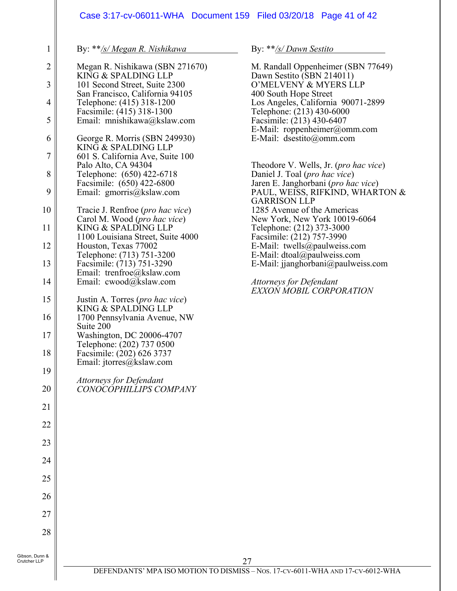#### Case 3:17-cv-06011-WHA Document 159 Filed 03/20/18 Page 41 of 42

By: \*\**/s/ Megan R. Nishikawa*

1

| $\overline{2}$ | Megan R. Nishikawa (SBN 271670)<br>KING & SPALDING LLP       |
|----------------|--------------------------------------------------------------|
| 3              | 101 Second Street, Suite 2300                                |
| 4              | San Francisco, California 94105<br>Telephone: (415) 318-1200 |
| 5              | Facsimile: (415) 318-1300<br>Email: mnishikawa@kslaw.com     |
| 6              | George R. Morris (SBN 249930)                                |
| $\overline{7}$ | KING & SPALDING LLP<br>601 S. California Ave, Suite 100      |
| 8              | Palo Alto, CA 94304<br>Telephone: (650) 422-6718             |
| 9              | Facsimile: (650) 422-6800<br>Email: gmorris@kslaw.com        |
| 10             | Tracie J. Renfroe (pro hac vice)                             |
| 11             | Carol M. Wood (pro hac vice)<br>KING & SPALDING LLP          |
| 12             | 1100 Louisiana Street, Suite 4000<br>Houston, Texas 77002    |
| 13             | Telephone: (713) 751-3200<br>Facsimile: (713) 751-3290       |
| 14             | Email: trenfroe@kslaw.com<br>Email: cwood@kslaw.com          |
| 15             | Justin A. Torres (pro hac vice)                              |
| 16             | KING & SPALDING LLP<br>1700 Pennsylvania Avenue, NW          |
| 17             | Suite 200<br>Washington, DC 20006-4707                       |
| 18             | Telephone: (202) 737 0500<br>Facsimile: (202) 626 3737       |
| 19             | Email: jtorres@kslaw.com                                     |
| 20             | <b>Attorneys for Defendant</b><br>CONOCOPHILLIPS COMPANY     |
| 21             |                                                              |
| 22             |                                                              |
| 23             |                                                              |
| 24             |                                                              |
| 25             |                                                              |
| 26             |                                                              |
| 27             |                                                              |
| 28             |                                                              |
| Gibson, Dunn & |                                                              |

By: \*\**/s/ Dawn Sestito*

M. Randall Oppenheimer (SBN 77649) Dawn Sestito (SBN 214011) O'MELVENY & MYERS LLP 400 South Hope Street Los Angeles, California 90071-2899 Telephone: (213) 430-6000 Facsimile: (213) 430-6407 E-Mail: roppenheimer@omm.com E-Mail: dsestito@omm.com Theodore V. Wells, Jr. (*pro hac vice*) Daniel J. Toal (*pro hac vice*) Jaren E. Janghorbani (*pro hac vice*) PAUL, WEISS, RIFKIND, WHARTON & GARRISON LLP 1285 Avenue of the Americas New York, New York 10019-6064 Telephone: (212) 373-3000 Facsimile: (212) 757-3990 E-Mail: twells@paulweiss.com E-Mail: dtoal@paulweiss.com E-Mail: jjanghorbani@paulweiss.com *Attorneys for Defendant EXXON MOBIL CORPORATION*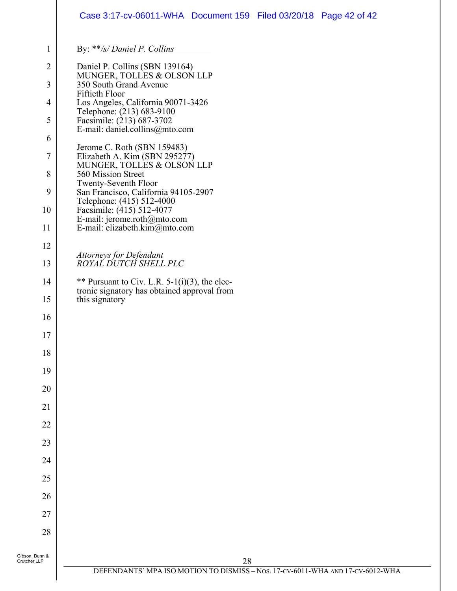|                                                                                                            | Case 3:17-cv-06011-WHA Document 159 Filed 03/20/18 Page 42 of 42                                                                                                                                                                                                                                                                                                                                                                                                                                                                                         |
|------------------------------------------------------------------------------------------------------------|----------------------------------------------------------------------------------------------------------------------------------------------------------------------------------------------------------------------------------------------------------------------------------------------------------------------------------------------------------------------------------------------------------------------------------------------------------------------------------------------------------------------------------------------------------|
| 1                                                                                                          | By: **/s/ Daniel P. Collins                                                                                                                                                                                                                                                                                                                                                                                                                                                                                                                              |
| $\overline{2}$<br>$\mathfrak{Z}$<br>$\overline{4}$<br>5<br>6<br>$\boldsymbol{7}$<br>$8\,$<br>9<br>10<br>11 | Daniel P. Collins (SBN 139164)<br>MUNGER, TOLLES & OLSON LLP<br>350 South Grand Avenue<br>Fiftieth Floor<br>Los Angeles, California 90071-3426<br>Telephone: (213) 683-9100<br>Facsimile: (213) 687-3702<br>E-mail: daniel.collins@mto.com<br>Jerome C. Roth (SBN 159483)<br>Elizabeth A. Kim (SBN 295277)<br>MUNGER, TOLLES & OLSON LLP<br>560 Mission Street<br>Twenty-Seventh Floor<br>San Francisco, California 94105-2907<br>Telephone: (415) 512-4000<br>Facsimile: (415) 512-4077<br>E-mail: jerome.roth@mto.com<br>E-mail: elizabeth.kim@mto.com |
| 12                                                                                                         |                                                                                                                                                                                                                                                                                                                                                                                                                                                                                                                                                          |
| 13                                                                                                         | Attorneys for Defendant<br>ROYAL DUTCH SHELL PLC                                                                                                                                                                                                                                                                                                                                                                                                                                                                                                         |
| 14                                                                                                         | ** Pursuant to Civ. L.R. $5-1(i)(3)$ , the elec-                                                                                                                                                                                                                                                                                                                                                                                                                                                                                                         |
| 15                                                                                                         | tronic signatory has obtained approval from<br>this signatory                                                                                                                                                                                                                                                                                                                                                                                                                                                                                            |
| 16                                                                                                         |                                                                                                                                                                                                                                                                                                                                                                                                                                                                                                                                                          |
| $17\,$                                                                                                     |                                                                                                                                                                                                                                                                                                                                                                                                                                                                                                                                                          |
| 18                                                                                                         |                                                                                                                                                                                                                                                                                                                                                                                                                                                                                                                                                          |
| 19                                                                                                         |                                                                                                                                                                                                                                                                                                                                                                                                                                                                                                                                                          |
| 20                                                                                                         |                                                                                                                                                                                                                                                                                                                                                                                                                                                                                                                                                          |
| 21                                                                                                         |                                                                                                                                                                                                                                                                                                                                                                                                                                                                                                                                                          |
| 22                                                                                                         |                                                                                                                                                                                                                                                                                                                                                                                                                                                                                                                                                          |
| 23                                                                                                         |                                                                                                                                                                                                                                                                                                                                                                                                                                                                                                                                                          |
| 24                                                                                                         |                                                                                                                                                                                                                                                                                                                                                                                                                                                                                                                                                          |
| 25                                                                                                         |                                                                                                                                                                                                                                                                                                                                                                                                                                                                                                                                                          |
| 26                                                                                                         |                                                                                                                                                                                                                                                                                                                                                                                                                                                                                                                                                          |
| 27                                                                                                         |                                                                                                                                                                                                                                                                                                                                                                                                                                                                                                                                                          |
| 28                                                                                                         |                                                                                                                                                                                                                                                                                                                                                                                                                                                                                                                                                          |
| Gibson, Dunn &<br>Crutcher LLP                                                                             | 28                                                                                                                                                                                                                                                                                                                                                                                                                                                                                                                                                       |
|                                                                                                            | DEFENDANTS' MPA ISO MOTION TO DISMISS - Nos. 17-CV-6011-WHA AND 17-CV-6012-WHA                                                                                                                                                                                                                                                                                                                                                                                                                                                                           |
|                                                                                                            |                                                                                                                                                                                                                                                                                                                                                                                                                                                                                                                                                          |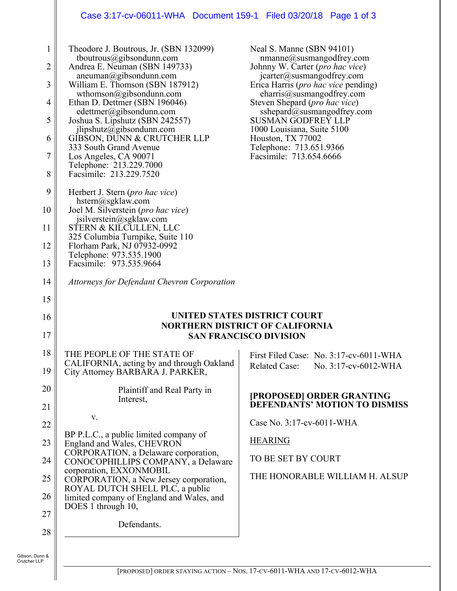# Case 3:17-cv-06011-WHA Document 159-1 Filed 03/20/18 Page 1 of 3

| $\mathbf{1}$<br>$\overline{c}$<br>3<br>4<br>5<br>6<br>7<br>8 | Theodore J. Boutrous, Jr. (SBN 132099)<br>tboutrous@gibsondunn.com<br>Andrea E. Neuman (SBN 149733)<br>aneuman@gibsondunn.com<br>William E. Thomson (SBN 187912)<br>wthomson@gibsondunn.com<br>Ethan D. Dettmer (SBN 196046)<br>edettmer@gibsondunn.com<br>Joshua S. Lipshutz (SBN 242557)<br>jlipshutz@gibsondunn.com<br>GIBSON, DUNN & CRUTCHER LLP<br>333 South Grand Avenue<br>Los Angeles, CA 90071<br>Telephone: 213.229.7000<br>Facsimile: 213.229.7520 | Neal S. Manne (SBN 94101)<br>nmanne@susmangodfrey.com<br>Johnny W. Carter (pro hac vice)<br>jcarter@susmangodfrey.com<br>Erica Harris ( <i>pro hac vice</i> pending)<br>charris@susmangodfrey.com<br>Steven Shepard ( <i>pro hac vice</i> )<br>sshepard@susmangodfrey.com<br>SUSMAN GODFREY LLP<br>1000 Louisiana, Suite 5100<br>Houston, TX 77002<br>Telephone: 713.651.9366<br>Facsimile: 713.654.6666 |
|--------------------------------------------------------------|----------------------------------------------------------------------------------------------------------------------------------------------------------------------------------------------------------------------------------------------------------------------------------------------------------------------------------------------------------------------------------------------------------------------------------------------------------------|----------------------------------------------------------------------------------------------------------------------------------------------------------------------------------------------------------------------------------------------------------------------------------------------------------------------------------------------------------------------------------------------------------|
| 9                                                            | Herbert J. Stern ( <i>pro hac vice</i> )<br>hstern@sgklaw.com                                                                                                                                                                                                                                                                                                                                                                                                  |                                                                                                                                                                                                                                                                                                                                                                                                          |
| 10                                                           | Joel M. Silverstein (pro hac vice)<br>jsilverstein@sgklaw.com                                                                                                                                                                                                                                                                                                                                                                                                  |                                                                                                                                                                                                                                                                                                                                                                                                          |
| 11                                                           | STERN & KILCULLEN, LLC<br>325 Columbia Turnpike, Suite 110                                                                                                                                                                                                                                                                                                                                                                                                     |                                                                                                                                                                                                                                                                                                                                                                                                          |
| 12                                                           | Florham Park, NJ 07932-0992<br>Telephone: 973.535.1900                                                                                                                                                                                                                                                                                                                                                                                                         |                                                                                                                                                                                                                                                                                                                                                                                                          |
| 13                                                           | Facsimile: 973.535.9664                                                                                                                                                                                                                                                                                                                                                                                                                                        |                                                                                                                                                                                                                                                                                                                                                                                                          |
| 14                                                           | <b>Attorneys for Defendant Chevron Corporation</b>                                                                                                                                                                                                                                                                                                                                                                                                             |                                                                                                                                                                                                                                                                                                                                                                                                          |
| 15                                                           |                                                                                                                                                                                                                                                                                                                                                                                                                                                                |                                                                                                                                                                                                                                                                                                                                                                                                          |
| 16                                                           | UNITED STATES DISTRICT COURT                                                                                                                                                                                                                                                                                                                                                                                                                                   |                                                                                                                                                                                                                                                                                                                                                                                                          |
|                                                              |                                                                                                                                                                                                                                                                                                                                                                                                                                                                |                                                                                                                                                                                                                                                                                                                                                                                                          |
| 17                                                           |                                                                                                                                                                                                                                                                                                                                                                                                                                                                | <b>NORTHERN DISTRICT OF CALIFORNIA</b><br><b>SAN FRANCISCO DIVISION</b>                                                                                                                                                                                                                                                                                                                                  |
| 18                                                           | THE PEOPLE OF THE STATE OF                                                                                                                                                                                                                                                                                                                                                                                                                                     | First Filed Case: No. 3:17-cv-6011-WHA                                                                                                                                                                                                                                                                                                                                                                   |
| 19                                                           | CALIFORNIA, acting by and through Oakland<br>City Attorney BARBARA J. PARKER,                                                                                                                                                                                                                                                                                                                                                                                  | <b>Related Case:</b><br>No. 3:17-cv-6012-WHA                                                                                                                                                                                                                                                                                                                                                             |
| 20                                                           | Plaintiff and Real Party in                                                                                                                                                                                                                                                                                                                                                                                                                                    | [PROPOSED] ORDER GRANTING                                                                                                                                                                                                                                                                                                                                                                                |
| 21                                                           | Interest,                                                                                                                                                                                                                                                                                                                                                                                                                                                      | DEFENDANTS' MOTION TO DISMISS                                                                                                                                                                                                                                                                                                                                                                            |
| 22                                                           | V.                                                                                                                                                                                                                                                                                                                                                                                                                                                             | Case No. 3:17-cv-6011-WHA                                                                                                                                                                                                                                                                                                                                                                                |
| 23                                                           | BP P.L.C., a public limited company of<br>England and Wales, CHEVRON                                                                                                                                                                                                                                                                                                                                                                                           | <b>HEARING</b>                                                                                                                                                                                                                                                                                                                                                                                           |
| 24                                                           | CORPORATION, a Delaware corporation,<br>CONOCOPHILLIPS COMPANY, a Delaware                                                                                                                                                                                                                                                                                                                                                                                     | TO BE SET BY COURT                                                                                                                                                                                                                                                                                                                                                                                       |
| 25                                                           | corporation, EXXONMOBIL<br>CORPORATION, a New Jersey corporation,                                                                                                                                                                                                                                                                                                                                                                                              | THE HONORABLE WILLIAM H. ALSUP                                                                                                                                                                                                                                                                                                                                                                           |
| 26                                                           | ROYAL DUTCH SHELL PLC, a public<br>limited company of England and Wales, and                                                                                                                                                                                                                                                                                                                                                                                   |                                                                                                                                                                                                                                                                                                                                                                                                          |
| 27                                                           | DOES 1 through 10,                                                                                                                                                                                                                                                                                                                                                                                                                                             |                                                                                                                                                                                                                                                                                                                                                                                                          |
| 28                                                           | Defendants.                                                                                                                                                                                                                                                                                                                                                                                                                                                    |                                                                                                                                                                                                                                                                                                                                                                                                          |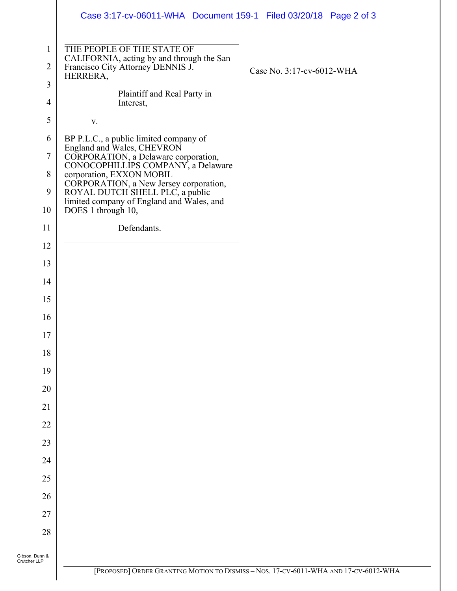|                                | Case 3:17-cv-06011-WHA Document 159-1 Filed 03/20/18 Page 2 of 3                                                         |                                                                                      |
|--------------------------------|--------------------------------------------------------------------------------------------------------------------------|--------------------------------------------------------------------------------------|
| 1<br>$\overline{2}$            | THE PEOPLE OF THE STATE OF<br>CALIFORNIA, acting by and through the San<br>Francisco City Attorney DENNIS J.<br>HERRERA, | Case No. 3:17-cv-6012-WHA                                                            |
| $\mathfrak{Z}$                 |                                                                                                                          |                                                                                      |
| $\overline{4}$                 | Plaintiff and Real Party in<br>Interest,                                                                                 |                                                                                      |
| 5                              | $\mathbf{V}$ .                                                                                                           |                                                                                      |
| 6                              | BP P.L.C., a public limited company of                                                                                   |                                                                                      |
| $\tau$                         | England and Wales, CHEVRON<br>CORPORATION, a Delaware corporation,                                                       |                                                                                      |
| $8\,$                          | CONOCOPHILLIPS COMPANY, a Delaware<br>corporation, EXXON MOBIL                                                           |                                                                                      |
| 9                              | CORPORATION, a New Jersey corporation,<br>ROYAL DUTCH SHELL PLC, a public<br>limited company of England and Wales, and   |                                                                                      |
| 10                             | DOES 1 through 10,                                                                                                       |                                                                                      |
| 11                             | Defendants.                                                                                                              |                                                                                      |
| 12                             |                                                                                                                          |                                                                                      |
| 13                             |                                                                                                                          |                                                                                      |
| 14                             |                                                                                                                          |                                                                                      |
| 15                             |                                                                                                                          |                                                                                      |
| 16                             |                                                                                                                          |                                                                                      |
| 17                             |                                                                                                                          |                                                                                      |
| 18                             |                                                                                                                          |                                                                                      |
| 19                             |                                                                                                                          |                                                                                      |
| 20                             |                                                                                                                          |                                                                                      |
| 21                             |                                                                                                                          |                                                                                      |
| 22                             |                                                                                                                          |                                                                                      |
| 23                             |                                                                                                                          |                                                                                      |
| 24                             |                                                                                                                          |                                                                                      |
| 25                             |                                                                                                                          |                                                                                      |
| 26                             |                                                                                                                          |                                                                                      |
| 27                             |                                                                                                                          |                                                                                      |
| 28                             |                                                                                                                          |                                                                                      |
| Gibson, Dunn &<br>Crutcher LLP |                                                                                                                          |                                                                                      |
|                                |                                                                                                                          | [PROPOSED] ORDER GRANTING MOTION TO DISMISS - NOS. 17-CV-6011-WHA AND 17-CV-6012-WHA |